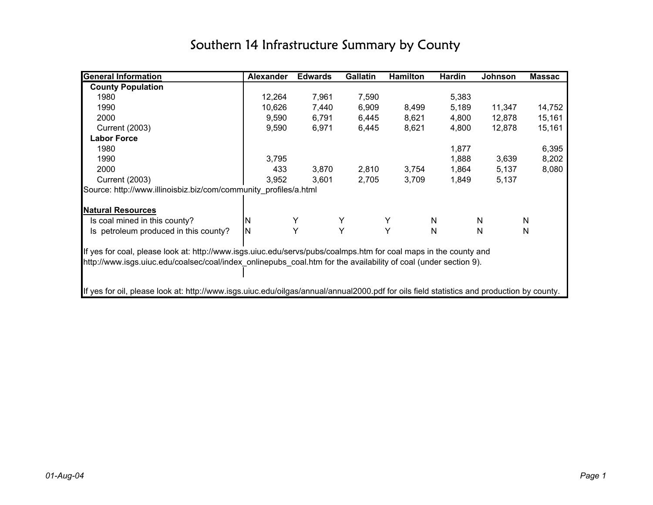| <b>General Information</b>                                                                                                                | <b>Alexander</b> | <b>Edwards</b> | <b>Gallatin</b> | <b>Hamilton</b> | <b>Hardin</b> | Johnson | <b>Massac</b> |
|-------------------------------------------------------------------------------------------------------------------------------------------|------------------|----------------|-----------------|-----------------|---------------|---------|---------------|
| <b>County Population</b>                                                                                                                  |                  |                |                 |                 |               |         |               |
| 1980                                                                                                                                      | 12,264           | 7,961          | 7,590           |                 | 5,383         |         |               |
| 1990                                                                                                                                      | 10,626           | 7,440          | 6,909           | 8,499           | 5,189         | 11,347  | 14,752        |
| 2000                                                                                                                                      | 9,590            | 6,791          | 6,445           | 8,621           | 4,800         | 12,878  | 15,161        |
| <b>Current (2003)</b>                                                                                                                     | 9,590            | 6,971          | 6,445           | 8,621           | 4,800         | 12,878  | 15,161        |
| <b>Labor Force</b>                                                                                                                        |                  |                |                 |                 |               |         |               |
| 1980                                                                                                                                      |                  |                |                 |                 | 1,877         |         | 6,395         |
| 1990                                                                                                                                      | 3,795            |                |                 |                 | 1,888         | 3,639   | 8,202         |
| 2000                                                                                                                                      | 433              | 3,870          | 2,810           | 3,754           | 1,864         | 5,137   | 8,080         |
| <b>Current (2003)</b>                                                                                                                     | 3,952            | 3,601          | 2,705           | 3,709           | 1,849         | 5,137   |               |
| Source: http://www.illinoisbiz.biz/com/community profiles/a.html                                                                          |                  |                |                 |                 |               |         |               |
|                                                                                                                                           |                  |                |                 |                 |               |         |               |
| <b>Natural Resources</b>                                                                                                                  |                  |                |                 |                 |               |         |               |
| Is coal mined in this county?                                                                                                             | ΙN               |                |                 |                 | N             | N       | N             |
| Is petroleum produced in this county?                                                                                                     | ΙN               | Υ              | Y               | Υ               | $\mathsf{N}$  | N       | N             |
|                                                                                                                                           |                  |                |                 |                 |               |         |               |
| If yes for coal, please look at: http://www.isgs.uiuc.edu/servs/pubs/coalmps.htm for coal maps in the county and                          |                  |                |                 |                 |               |         |               |
| http://www.isgs.uiuc.edu/coalsec/coal/index_onlinepubs_coal.htm for the availability of coal (under section 9).                           |                  |                |                 |                 |               |         |               |
|                                                                                                                                           |                  |                |                 |                 |               |         |               |
|                                                                                                                                           |                  |                |                 |                 |               |         |               |
| If yes for oil, please look at: http://www.isgs.uiuc.edu/oilgas/annual/annual2000.pdf for oils field statistics and production by county. |                  |                |                 |                 |               |         |               |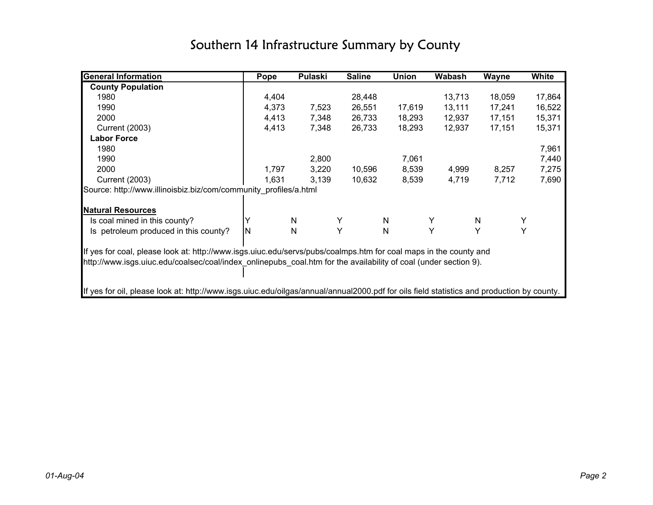| <b>General Information</b>                                                                                                                | Pope  | <b>Pulaski</b> | <b>Saline</b> | <b>Union</b> | <b>Wabash</b> | Wayne  | White  |
|-------------------------------------------------------------------------------------------------------------------------------------------|-------|----------------|---------------|--------------|---------------|--------|--------|
| <b>County Population</b>                                                                                                                  |       |                |               |              |               |        |        |
| 1980                                                                                                                                      | 4,404 |                | 28,448        |              | 13,713        | 18,059 | 17,864 |
| 1990                                                                                                                                      | 4,373 | 7,523          | 26,551        | 17,619       | 13,111        | 17,241 | 16,522 |
| 2000                                                                                                                                      | 4,413 | 7,348          | 26,733        | 18,293       | 12,937        | 17,151 | 15,371 |
| <b>Current (2003)</b>                                                                                                                     | 4,413 | 7,348          | 26,733        | 18,293       | 12,937        | 17,151 | 15,371 |
| <b>Labor Force</b>                                                                                                                        |       |                |               |              |               |        |        |
| 1980                                                                                                                                      |       |                |               |              |               |        | 7,961  |
| 1990                                                                                                                                      |       | 2,800          |               | 7,061        |               |        | 7,440  |
| 2000                                                                                                                                      | 1,797 | 3,220          | 10,596        | 8,539        | 4,999         | 8,257  | 7,275  |
| <b>Current (2003)</b>                                                                                                                     | 1,631 | 3,139          | 10,632        | 8,539        | 4,719         | 7,712  | 7,690  |
| Source: http://www.illinoisbiz.biz/com/community profiles/a.html                                                                          |       |                |               |              |               |        |        |
|                                                                                                                                           |       |                |               |              |               |        |        |
| <b>Natural Resources</b>                                                                                                                  |       |                |               |              |               |        |        |
| Is coal mined in this county?                                                                                                             |       | N              | Y             | N            | Y             | N      | Y      |
| Is petroleum produced in this county?                                                                                                     | ΙN    | N              | Y             | $\mathsf{N}$ | Y             |        | Υ      |
|                                                                                                                                           |       |                |               |              |               |        |        |
| If yes for coal, please look at: http://www.isgs.uiuc.edu/servs/pubs/coalmps.htm for coal maps in the county and                          |       |                |               |              |               |        |        |
| http://www.isgs.uiuc.edu/coalsec/coal/index onlinepubs coal.htm for the availability of coal (under section 9).                           |       |                |               |              |               |        |        |
|                                                                                                                                           |       |                |               |              |               |        |        |
|                                                                                                                                           |       |                |               |              |               |        |        |
| If yes for oil, please look at: http://www.isgs.uiuc.edu/oilgas/annual/annual2000.pdf for oils field statistics and production by county. |       |                |               |              |               |        |        |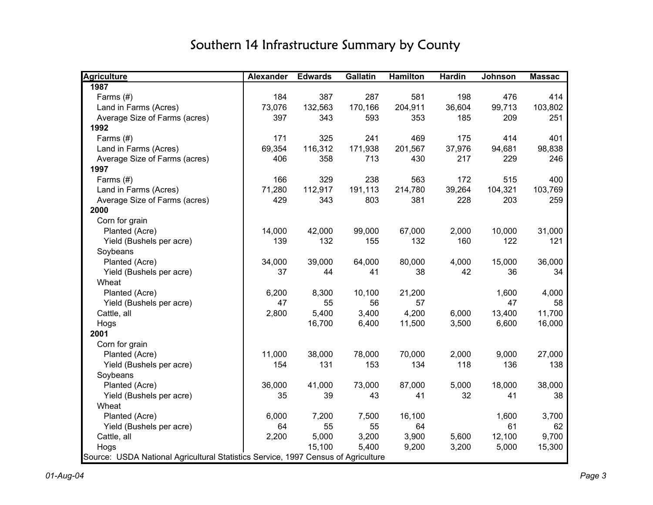| <b>Agriculture</b>                                                                | Alexander | <b>Edwards</b> | <b>Gallatin</b> | <b>Hamilton</b> | <b>Hardin</b> | <b>Johnson</b> | <b>Massac</b> |
|-----------------------------------------------------------------------------------|-----------|----------------|-----------------|-----------------|---------------|----------------|---------------|
| 1987                                                                              |           |                |                 |                 |               |                |               |
| Farms (#)                                                                         | 184       | 387            | 287             | 581             | 198           | 476            | 414           |
| Land in Farms (Acres)                                                             | 73,076    | 132,563        | 170,166         | 204,911         | 36,604        | 99,713         | 103,802       |
| Average Size of Farms (acres)                                                     | 397       | 343            | 593             | 353             | 185           | 209            | 251           |
| 1992                                                                              |           |                |                 |                 |               |                |               |
| Farms (#)                                                                         | 171       | 325            | 241             | 469             | 175           | 414            | 401           |
| Land in Farms (Acres)                                                             | 69,354    | 116,312        | 171,938         | 201,567         | 37,976        | 94,681         | 98,838        |
| Average Size of Farms (acres)                                                     | 406       | 358            | 713             | 430             | 217           | 229            | 246           |
| 1997                                                                              |           |                |                 |                 |               |                |               |
| Farms (#)                                                                         | 166       | 329            | 238             | 563             | 172           | 515            | 400           |
| Land in Farms (Acres)                                                             | 71,280    | 112,917        | 191,113         | 214,780         | 39,264        | 104,321        | 103,769       |
| Average Size of Farms (acres)                                                     | 429       | 343            | 803             | 381             | 228           | 203            | 259           |
| 2000                                                                              |           |                |                 |                 |               |                |               |
| Corn for grain                                                                    |           |                |                 |                 |               |                |               |
| Planted (Acre)                                                                    | 14,000    | 42,000         | 99,000          | 67,000          | 2,000         | 10,000         | 31,000        |
| Yield (Bushels per acre)                                                          | 139       | 132            | 155             | 132             | 160           | 122            | 121           |
| Soybeans                                                                          |           |                |                 |                 |               |                |               |
| Planted (Acre)                                                                    | 34,000    | 39,000         | 64,000          | 80,000          | 4,000         | 15,000         | 36,000        |
| Yield (Bushels per acre)                                                          | 37        | 44             | 41              | 38              | 42            | 36             | 34            |
| Wheat                                                                             |           |                |                 |                 |               |                |               |
| Planted (Acre)                                                                    | 6,200     | 8,300          | 10,100          | 21,200          |               | 1,600          | 4,000         |
| Yield (Bushels per acre)                                                          | 47        | 55             | 56              | 57              |               | 47             | 58            |
| Cattle, all                                                                       | 2,800     | 5,400          | 3,400           | 4,200           | 6,000         | 13,400         | 11,700        |
| Hogs                                                                              |           | 16,700         | 6,400           | 11,500          | 3,500         | 6,600          | 16,000        |
| 2001                                                                              |           |                |                 |                 |               |                |               |
| Corn for grain                                                                    |           |                |                 |                 |               |                |               |
| Planted (Acre)                                                                    | 11,000    | 38,000         | 78,000          | 70,000          | 2,000         | 9,000          | 27,000        |
| Yield (Bushels per acre)                                                          | 154       | 131            | 153             | 134             | 118           | 136            | 138           |
| Soybeans                                                                          |           |                |                 |                 |               |                |               |
| Planted (Acre)                                                                    | 36,000    | 41,000         | 73,000          | 87,000          | 5,000         | 18,000         | 38,000        |
| Yield (Bushels per acre)                                                          | 35        | 39             | 43              | 41              | 32            | 41             | 38            |
| Wheat                                                                             |           |                |                 |                 |               |                |               |
| Planted (Acre)                                                                    | 6,000     | 7,200          | 7,500           | 16,100          |               | 1,600          | 3,700         |
| Yield (Bushels per acre)                                                          | 64        | 55             | 55              | 64              |               | 61             | 62            |
| Cattle, all                                                                       | 2,200     | 5,000          | 3,200           | 3,900           | 5,600         | 12,100         | 9,700         |
| Hogs                                                                              |           | 15,100         | 5,400           | 9,200           | 3,200         | 5,000          | 15,300        |
| Source: USDA National Agricultural Statistics Service, 1997 Census of Agriculture |           |                |                 |                 |               |                |               |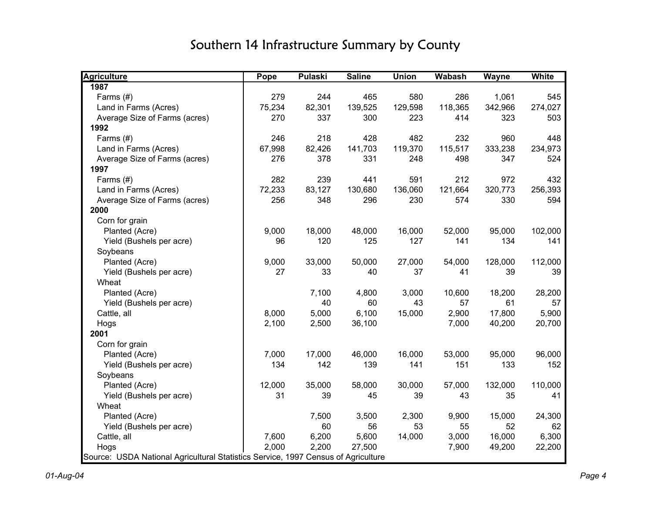| <b>Agriculture</b>                                                                | Pope   | <b>Pulaski</b> | <b>Saline</b> | <b>Union</b> | <b>Wabash</b> | <b>Wayne</b> | <b>White</b> |
|-----------------------------------------------------------------------------------|--------|----------------|---------------|--------------|---------------|--------------|--------------|
| 1987                                                                              |        |                |               |              |               |              |              |
| Farms (#)                                                                         | 279    | 244            | 465           | 580          | 286           | 1,061        | 545          |
| Land in Farms (Acres)                                                             | 75,234 | 82,301         | 139,525       | 129,598      | 118,365       | 342,966      | 274,027      |
| Average Size of Farms (acres)                                                     | 270    | 337            | 300           | 223          | 414           | 323          | 503          |
| 1992                                                                              |        |                |               |              |               |              |              |
| Farms $(H)$                                                                       | 246    | 218            | 428           | 482          | 232           | 960          | 448          |
| Land in Farms (Acres)                                                             | 67,998 | 82,426         | 141,703       | 119,370      | 115,517       | 333,238      | 234,973      |
| Average Size of Farms (acres)                                                     | 276    | 378            | 331           | 248          | 498           | 347          | 524          |
| 1997                                                                              |        |                |               |              |               |              |              |
| Farms $(#)$                                                                       | 282    | 239            | 441           | 591          | 212           | 972          | 432          |
| Land in Farms (Acres)                                                             | 72,233 | 83,127         | 130,680       | 136,060      | 121,664       | 320,773      | 256,393      |
| Average Size of Farms (acres)                                                     | 256    | 348            | 296           | 230          | 574           | 330          | 594          |
| 2000                                                                              |        |                |               |              |               |              |              |
| Corn for grain                                                                    |        |                |               |              |               |              |              |
| Planted (Acre)                                                                    | 9,000  | 18,000         | 48,000        | 16,000       | 52,000        | 95,000       | 102,000      |
| Yield (Bushels per acre)                                                          | 96     | 120            | 125           | 127          | 141           | 134          | 141          |
| Soybeans                                                                          |        |                |               |              |               |              |              |
| Planted (Acre)                                                                    | 9,000  | 33,000         | 50,000        | 27,000       | 54,000        | 128,000      | 112,000      |
| Yield (Bushels per acre)                                                          | 27     | 33             | 40            | 37           | 41            | 39           | 39           |
| Wheat                                                                             |        |                |               |              |               |              |              |
| Planted (Acre)                                                                    |        | 7,100          | 4,800         | 3,000        | 10,600        | 18,200       | 28,200       |
| Yield (Bushels per acre)                                                          |        | 40             | 60            | 43           | 57            | 61           | 57           |
| Cattle, all                                                                       | 8,000  | 5,000          | 6,100         | 15,000       | 2,900         | 17,800       | 5,900        |
| Hogs                                                                              | 2,100  | 2,500          | 36,100        |              | 7,000         | 40,200       | 20,700       |
| 2001                                                                              |        |                |               |              |               |              |              |
| Corn for grain                                                                    |        |                |               |              |               |              |              |
| Planted (Acre)                                                                    | 7,000  | 17,000         | 46,000        | 16,000       | 53,000        | 95,000       | 96,000       |
| Yield (Bushels per acre)                                                          | 134    | 142            | 139           | 141          | 151           | 133          | 152          |
| Soybeans                                                                          |        |                |               |              |               |              |              |
| Planted (Acre)                                                                    | 12,000 | 35,000         | 58,000        | 30,000       | 57,000        | 132,000      | 110,000      |
| Yield (Bushels per acre)                                                          | 31     | 39             | 45            | 39           | 43            | 35           | 41           |
| Wheat                                                                             |        |                |               |              |               |              |              |
| Planted (Acre)                                                                    |        | 7,500          | 3,500         | 2,300        | 9,900         | 15,000       | 24,300       |
| Yield (Bushels per acre)                                                          |        | 60             | 56            | 53           | 55            | 52           | 62           |
| Cattle, all                                                                       | 7,600  | 6,200          | 5,600         | 14,000       | 3,000         | 16,000       | 6,300        |
| Hogs                                                                              | 2,000  | 2,200          | 27,500        |              | 7,900         | 49,200       | 22,200       |
| Source: USDA National Agricultural Statistics Service, 1997 Census of Agriculture |        |                |               |              |               |              |              |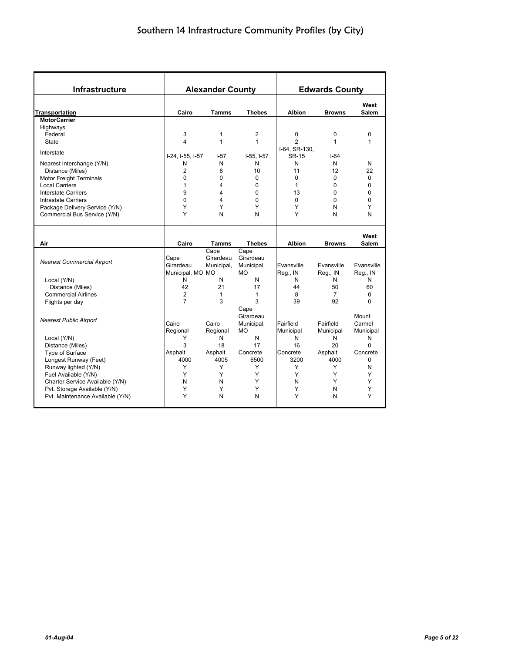| Infrastructure                    |                  | <b>Alexander County</b> |               |               | <b>Edwards County</b> |                      |
|-----------------------------------|------------------|-------------------------|---------------|---------------|-----------------------|----------------------|
| <b>Transportation</b>             | Cairo            | <b>Tamms</b>            | <b>Thebes</b> | <b>Albion</b> | <b>Browns</b>         | West<br>Salem        |
| <b>MotorCarrier</b>               |                  |                         |               |               |                       |                      |
| Highways                          |                  |                         |               |               |                       |                      |
| Federal                           | 3                | $\mathbf{1}$            | 2             | 0             | $\mathbf 0$           | 0                    |
| State                             | 4                | $\mathbf{1}$            | 1             | 2             | $\mathbf{1}$          | 1                    |
|                                   |                  |                         |               | I-64, SR-130, |                       |                      |
| Interstate                        | I-24, I-55, I-57 | $I - 57$                | $I-55. I-57$  | <b>SR-15</b>  | $I-64$                |                      |
| Nearest Interchange (Y/N)         | N                | N                       | N             | N             | N                     | N                    |
| Distance (Miles)                  | $\overline{2}$   | 8                       | 10            | 11            | 12                    | 22                   |
| <b>Motor Freight Terminals</b>    | 0                | $\mathbf 0$             | 0             | 0             | 0                     | $\mathbf 0$          |
| <b>Local Carriers</b>             | 1                | 4                       | 0             | 1             | $\Omega$              | $\Omega$             |
| <b>Interstate Carriers</b>        | 9                | 4                       | $\Omega$      | 13            | $\Omega$              | 0                    |
| <b>Intrastate Carriers</b>        | $\mathbf{0}$     | 4                       | $\Omega$      | $\Omega$      | $\mathbf{0}$          | $\Omega$             |
| Package Delivery Service (Y/N)    | Y                | Y                       | Υ             | Υ             | N                     | Y                    |
| Commercial Bus Service (Y/N)      | Υ                | N                       | N             | Υ             | N                     | N                    |
| Air                               | Cairo            | <b>Tamms</b>            | <b>Thebes</b> | <b>Albion</b> | <b>Browns</b>         | West<br><b>Salem</b> |
|                                   |                  | Cape                    | Cape          |               |                       |                      |
|                                   | Cape             | Girardeau               | Girardeau     |               |                       |                      |
| <b>Nearest Commercial Airport</b> | Girardeau        | Municipal,              | Municipal,    | Evansville    | Evansville            | Evansville           |
|                                   | Municipal, MO MO |                         | <b>MO</b>     | Reg., IN      | Reg., IN              | Reg., IN             |
| Local (Y/N)                       | N                | N                       | N             | N             | N                     | N                    |
| Distance (Miles)                  | 42               | 21                      | 17            | 44            | 50                    | 60                   |
| <b>Commercial Airlines</b>        | $\overline{c}$   | $\mathbf{1}$            | 1             | 8             | $\overline{7}$        | $\Omega$             |
| Flights per day                   | $\overline{7}$   | 3                       | 3             | 39            | 92                    | $\Omega$             |
|                                   |                  |                         | Cape          |               |                       |                      |
|                                   |                  |                         | Girardeau     |               |                       | Mount                |
| <b>Nearest Public Airport</b>     | Cairo            | Cairo                   | Municipal,    | Fairfield     | Fairfield             | Carmel               |
|                                   | Regional         | Regional                | <b>MO</b>     | Municipal     | Municipal             | Municipal            |
| Local (Y/N)                       | Y                | N                       | N             | N             | N                     | N                    |
| Distance (Miles)                  | 3                | 18                      | 17            | 16            | 20                    | $\Omega$             |
| Type of Surface                   | Asphalt          | Asphalt                 | Concrete      | Concrete      | Asphalt               | Concrete             |
| Longest Runway (Feet)             | 4000             | 4005                    | 6500          | 3200          | 4000                  | $\Omega$             |
| Runway lighted (Y/N)              | Y                | Y                       | Y             | Y             | Y                     | N                    |
| Fuel Available (Y/N)              | Y                | Y                       | Y             | Y             | Y                     | Y                    |
| Charter Service Available (Y/N)   | N                | N                       | Υ             | N             | Y                     | Y                    |
| Pvt. Storage Available (Y/N)      | Υ                | Υ                       | Υ             | Υ             | N                     | Υ                    |
|                                   |                  |                         |               |               |                       |                      |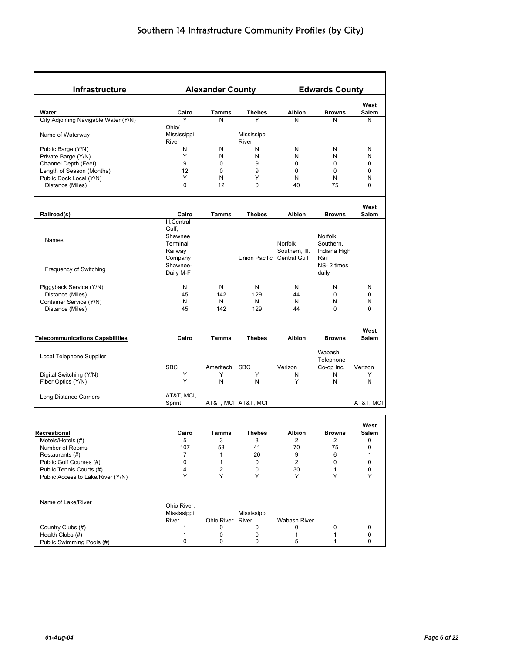| Infrastructure                         |                                                                                            | <b>Alexander County</b> |                      |                                                         | <b>Edwards County</b>                                                      |               |
|----------------------------------------|--------------------------------------------------------------------------------------------|-------------------------|----------------------|---------------------------------------------------------|----------------------------------------------------------------------------|---------------|
|                                        |                                                                                            |                         |                      |                                                         |                                                                            | West          |
| Water                                  | Cairo                                                                                      | <b>Tamms</b>            | <b>Thebes</b>        | <b>Albion</b>                                           | <b>Browns</b>                                                              | <b>Salem</b>  |
| City Adjoining Navigable Water (Y/N)   | Y                                                                                          | N                       | Y                    | N                                                       | N                                                                          | N             |
| Name of Waterway                       | Ohio/<br>Mississippi<br>River                                                              |                         | Mississippi<br>River |                                                         |                                                                            |               |
| Public Barge (Y/N)                     | Ν                                                                                          | N                       | N                    | N                                                       | N                                                                          | N             |
| Private Barge (Y/N)                    | Υ                                                                                          | N                       | N                    | N                                                       | N                                                                          | N             |
| Channel Depth (Feet)                   | 9                                                                                          | $\mathbf 0$             | 9                    | 0                                                       | 0                                                                          | 0             |
| Length of Season (Months)              | 12                                                                                         | $\mathbf 0$             | 9                    | $\Omega$                                                | 0                                                                          | 0             |
| Public Dock Local (Y/N)                | Υ                                                                                          | N                       | Υ                    | N                                                       | N                                                                          | N             |
| Distance (Miles)                       | $\Omega$                                                                                   | 12                      | $\mathbf 0$          | 40                                                      | 75                                                                         | $\mathbf 0$   |
|                                        |                                                                                            |                         |                      |                                                         |                                                                            | West          |
| Railroad(s)                            | Cairo                                                                                      | <b>Tamms</b>            | <b>Thebes</b>        | Albion                                                  | <b>Browns</b>                                                              | Salem         |
| <b>Names</b><br>Frequency of Switching | III.Central<br>Gulf,<br>Shawnee<br>Terminal<br>Railway<br>Company<br>Shawnee-<br>Daily M-F |                         | <b>Union Pacific</b> | <b>Norfolk</b><br>Southern, III.<br><b>Central Gulf</b> | <b>Norfolk</b><br>Southern,<br>Indiana High<br>Rail<br>NS-2 times<br>daily |               |
|                                        |                                                                                            |                         |                      |                                                         |                                                                            |               |
| Piggyback Service (Y/N)                | N                                                                                          | N                       | N                    | N                                                       | N                                                                          | N             |
| Distance (Miles)                       | 45                                                                                         | 142                     | 129                  | 44                                                      | 0                                                                          | 0             |
| Container Service (Y/N)                | N                                                                                          | N                       | N                    | N                                                       | N                                                                          | N             |
| Distance (Miles)                       | 45                                                                                         | 142                     | 129                  | 44                                                      | 0                                                                          | $\Omega$      |
| <b>Telecommunications Capabilities</b> | Cairo                                                                                      | <b>Tamms</b>            | Thebes               | Albion                                                  | <b>Browns</b>                                                              | West<br>Salem |
|                                        |                                                                                            |                         |                      |                                                         | Wabash                                                                     |               |
| Local Telephone Supplier               |                                                                                            |                         |                      |                                                         | Telephone                                                                  |               |
|                                        | <b>SBC</b>                                                                                 | Ameritech SBC           |                      | Verizon                                                 | Co-op Inc.                                                                 | Verizon       |
| Digital Switching (Y/N)                | Υ                                                                                          | Y                       | Y                    | N                                                       | N                                                                          | Y             |
| Fiber Optics (Y/N)                     | Y                                                                                          | N                       | N                    | Υ                                                       | N                                                                          | N             |
| Long Distance Carriers                 | AT&T, MCI,                                                                                 |                         |                      |                                                         |                                                                            |               |
|                                        | Sprint                                                                                     |                         | AT&T, MCI AT&T, MCI  |                                                         |                                                                            | AT&T, MCI     |
|                                        |                                                                                            |                         |                      |                                                         |                                                                            | West          |
| Recreational                           | Cairo                                                                                      | Tamms                   | <b>Thebes</b>        | <b>Albion</b>                                           | <b>Browns</b>                                                              | Salem         |
| Motels/Hotels (#)                      | 5                                                                                          | 3                       | 3                    | $\boldsymbol{2}$                                        | $\overline{\mathbf{c}}$                                                    | $\pmb{0}$     |
| Number of Rooms                        | 107                                                                                        | 53                      | 41                   | 70                                                      | 75                                                                         | 0             |
| Restaurants (#)                        | 7                                                                                          | $\mathbf{1}$            | 20                   | 9                                                       | 6                                                                          | 1             |
| Public Golf Courses (#)                | 0                                                                                          | 1                       | 0                    | 2                                                       | 0                                                                          | 0             |
| Public Tennis Courts (#)               | 4                                                                                          | 2                       | 0                    | 30                                                      | 1                                                                          | 0             |
| Public Access to Lake/River (Y/N)      | Y                                                                                          | Y                       | Y                    | Y                                                       | Υ                                                                          | Υ             |
| Name of Lake/River                     | Ohio River,                                                                                |                         |                      |                                                         |                                                                            |               |
|                                        | Mississippi                                                                                |                         | Mississippi          |                                                         |                                                                            |               |
|                                        | River                                                                                      | Ohio River River        |                      | <b>Wabash River</b>                                     |                                                                            |               |
| Country Clubs (#)                      | 1                                                                                          | 0                       | 0                    | 0                                                       | 0                                                                          | 0             |
| Health Clubs (#)                       | 1                                                                                          | 0                       | 0                    | $\mathbf{1}$                                            | 1                                                                          | 0             |
| Public Swimming Pools (#)              | 0                                                                                          | 0                       | 0                    | 5                                                       | 1                                                                          | 0             |
|                                        |                                                                                            |                         |                      |                                                         |                                                                            |               |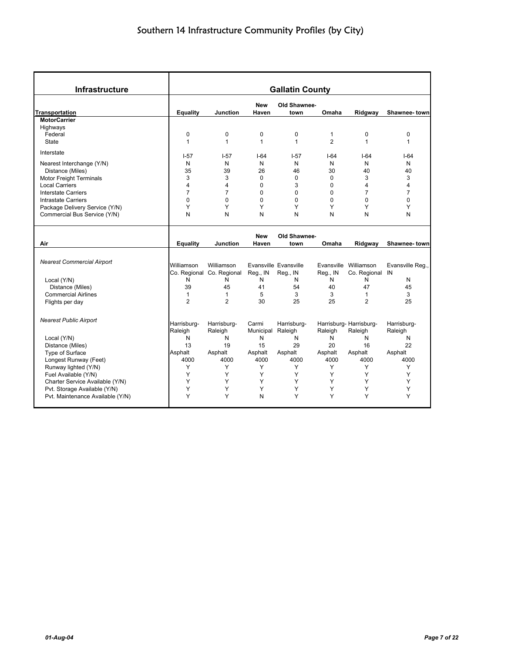| <b>Infrastructure</b>             |                 |                           |                     | <b>Gallatin County</b> |                |                        |                  |
|-----------------------------------|-----------------|---------------------------|---------------------|------------------------|----------------|------------------------|------------------|
| Transportation                    | <b>Equality</b> | <b>Junction</b>           | <b>New</b><br>Haven | Old Shawnee-<br>town   | Omaha          | Ridgway                | Shawnee-town     |
| <b>MotorCarrier</b>               |                 |                           |                     |                        |                |                        |                  |
| Highways                          |                 |                           |                     |                        |                |                        |                  |
| Federal                           | 0               | 0                         | $\mathbf 0$         | 0                      | $\mathbf{1}$   | 0                      | $\mathbf 0$      |
| <b>State</b>                      | $\mathbf{1}$    | $\mathbf{1}$              | $\mathbf{1}$        | $\mathbf{1}$           | $\overline{2}$ | $\mathbf{1}$           | $\mathbf{1}$     |
| Interstate                        | $I - 57$        | $1-57$                    | $1-64$              | $1-57$                 | $1-64$         | $1-64$                 | $1-64$           |
| Nearest Interchange (Y/N)         | N               | N                         | N                   | N                      | N              | N                      | N                |
| Distance (Miles)                  | 35              | 39                        | 26                  | 46                     | 30             | 40                     | 40               |
| <b>Motor Freight Terminals</b>    | 3               | 3                         | $\Omega$            | $\Omega$               | $\Omega$       | 3                      | 3                |
| <b>Local Carriers</b>             | 4               | 4                         | 0                   | 3                      | $\Omega$       | 4                      | 4                |
| <b>Interstate Carriers</b>        | $\overline{7}$  | $\overline{7}$            | $\mathbf 0$         | 0                      | 0              | 7                      | $\overline{7}$   |
|                                   | $\Omega$        | $\Omega$                  | $\Omega$            | $\Omega$               | 0              | $\Omega$               | $\Omega$         |
| Intrastate Carriers               |                 |                           |                     |                        |                |                        |                  |
| Package Delivery Service (Y/N)    | Υ               | Y                         | Υ                   | Υ                      | Y              | Y                      | Y                |
| Commercial Bus Service (Y/N)      | N               | N                         | N                   | N                      | N              | N                      | N                |
|                                   |                 |                           | <b>New</b>          | Old Shawnee-           |                |                        |                  |
| Air                               | <b>Equality</b> | Junction                  | Haven               | town                   | Omaha          | Ridgway                | Shawnee-town     |
|                                   |                 |                           |                     |                        |                |                        |                  |
| <b>Nearest Commercial Airport</b> |                 |                           |                     |                        |                |                        |                  |
|                                   | Williamson      | Williamson                |                     | Evansville Evansville  |                | Evansville Williamson  | Evansville Reg., |
|                                   |                 | Co. Regional Co. Regional | Reg., IN            | Reg., IN               | Reg., IN       | Co. Regional IN        |                  |
| Local (Y/N)                       | N               | N                         | N                   | N                      | N              | N                      | N                |
| Distance (Miles)                  | 39              | 45                        | 41                  | 54                     | 40             | 47                     | 45               |
| <b>Commercial Airlines</b>        | $\mathbf{1}$    | $\mathbf{1}$              | 5                   | 3                      | 3              | $\mathbf{1}$           | 3                |
| Flights per day                   | $\overline{2}$  | $\overline{2}$            | 30                  | 25                     | 25             | $\overline{2}$         | 25               |
| <b>Nearest Public Airport</b>     |                 |                           |                     |                        |                |                        |                  |
|                                   | Harrisburg-     | Harrisburg-               | Carmi               | Harrisburg-            |                | Harrisburg-Harrisburg- | Harrisburg-      |
|                                   | Raleigh         | Raleigh                   | Municipal           | Raleigh                | Raleigh        | Raleigh                | Raleigh          |
| Local (Y/N)                       | N               | N                         | N                   | N                      | N              | N                      | N                |
| Distance (Miles)                  | 13              | 19                        | 15                  | 29                     | 20             | 16                     | 22               |
| Type of Surface                   | Asphalt         | Asphalt                   | Asphalt             | Asphalt                | Asphalt        | Asphalt                | Asphalt          |
| Longest Runway (Feet)             | 4000            | 4000                      | 4000                | 4000                   | 4000           | 4000                   | 4000             |
| Runway lighted (Y/N)              | Y               | Y                         | Y                   | Y                      | Y              | Y                      | Y                |
| Fuel Available (Y/N)              | Y               | Y                         | Υ                   | Y                      | Y              | Y                      | Y                |
| Charter Service Available (Y/N)   | Y               | Υ                         | Y                   | Y                      | Y              | Y                      | Y                |
| Pvt. Storage Available (Y/N)      | Y               | Y                         | Y                   | Y                      | Y              | Y                      | Υ                |
| Pvt. Maintenance Available (Y/N)  | Y               | Υ                         | N                   | Y                      | Υ              | Y                      | Y                |
|                                   |                 |                           |                     |                        |                |                        |                  |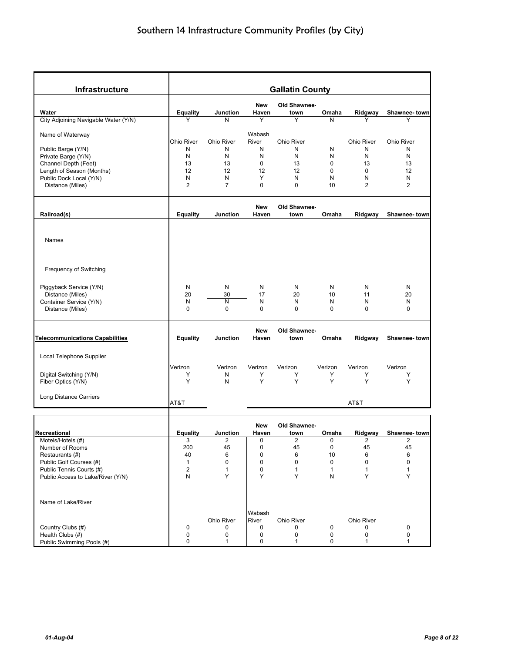| <b>Infrastructure</b>                               |                                |                           |                 | <b>Gallatin County</b> |                   |                   |                   |
|-----------------------------------------------------|--------------------------------|---------------------------|-----------------|------------------------|-------------------|-------------------|-------------------|
|                                                     |                                |                           | New             | Old Shawnee-           |                   |                   |                   |
| Water                                               | <b>Equality</b>                | Junction                  | Haven           | town                   | Omaha             | Ridgway           | Shawnee-town      |
| City Adjoining Navigable Water (Y/N)                | Υ                              | N                         | Y               | Y                      | N                 |                   | Y                 |
| Name of Waterway                                    |                                |                           | Wabash          |                        |                   |                   |                   |
|                                                     | <b>Ohio River</b>              | Ohio River                | River           | Ohio River             |                   | <b>Ohio River</b> | <b>Ohio River</b> |
| Public Barge (Y/N)                                  | N<br>N                         | N<br>N                    | N<br>N          | Ν<br>N                 | N<br>N            | N<br>N            | N<br>N            |
| Private Barge (Y/N)<br>Channel Depth (Feet)         | 13                             | 13                        | 0               | 13                     | $\mathbf 0$       | 13                | 13                |
| Length of Season (Months)                           | 12                             | 12                        | 12              | 12                     | $\mathbf 0$       | $\mathbf 0$       | 12                |
| Public Dock Local (Y/N)                             | N                              | N                         | Υ               | N                      | N                 | N                 | N                 |
| Distance (Miles)                                    | $\overline{2}$                 | $\overline{7}$            | 0               | $\mathbf 0$            | 10                | 2                 | 2                 |
|                                                     |                                |                           |                 |                        |                   |                   |                   |
|                                                     |                                |                           | <b>New</b>      | Old Shawnee-           |                   |                   |                   |
| Railroad(s)                                         | <b>Equality</b>                | Junction                  | Haven           | town                   | Omaha             | Ridgway           | Shawnee-town      |
| Names                                               |                                |                           |                 |                        |                   |                   |                   |
| Frequency of Switching                              |                                |                           |                 |                        |                   |                   |                   |
| Piggyback Service (Y/N)                             | N                              | N                         | N               | N                      | N                 | N                 | N                 |
| Distance (Miles)                                    | 20                             | 30                        | 17              | 20                     | 10                | 11                | 20                |
| Container Service (Y/N)                             | N                              | N                         | N               | N                      | N                 | N                 | N                 |
| Distance (Miles)                                    | 0                              | 0                         | 0               | $\Omega$               | 0                 | 0                 | 0                 |
|                                                     |                                |                           |                 |                        |                   |                   |                   |
|                                                     |                                |                           | <b>New</b>      | Old Shawnee-           |                   |                   |                   |
| <b>Telecommunications Capabilities</b>              | <b>Equality</b>                | <b>Junction</b>           | Haven           | town                   | Omaha             | Ridgway           | Shawnee-town      |
|                                                     |                                |                           |                 |                        |                   |                   |                   |
| Local Telephone Supplier                            |                                |                           |                 |                        |                   |                   |                   |
|                                                     | Verizon                        | Verizon                   | Verizon         | Verizon                | Verizon           | Verizon           | Verizon           |
| Digital Switching (Y/N)                             | Y<br>Y                         | N<br>N                    | Y<br>Y          | Y<br>Y                 | Υ<br>Y            | Υ<br>Y            | Υ<br>Y            |
| Fiber Optics (Y/N)                                  |                                |                           |                 |                        |                   |                   |                   |
| Long Distance Carriers                              | AT&T                           |                           |                 |                        |                   | AT&T              |                   |
|                                                     |                                |                           |                 |                        |                   |                   |                   |
|                                                     |                                |                           | New             | Old Shawnee-           |                   |                   |                   |
| Recreational                                        | <b>Equality</b>                | Junction                  | Haven           | town                   | Omaha             | Ridgway           | Shawnee-town      |
| Motels/Hotels (#)                                   | 3                              | 2                         | 0               | 2                      | 0                 | 2                 | 2                 |
| Number of Rooms                                     | 200                            | 45                        | 0               | 45                     | 0                 | 45                | 45                |
| Restaurants (#)                                     | 40                             | 6                         | 0               | 6                      | 10                | 6                 | 6                 |
| Public Golf Courses (#)<br>Public Tennis Courts (#) | $\mathbf{1}$<br>$\overline{2}$ | $\pmb{0}$<br>$\mathbf{1}$ | 0<br>0          | 0<br>$\mathbf{1}$      | 0<br>$\mathbf{1}$ | 0<br>$\mathbf{1}$ | 0<br>$\mathbf{1}$ |
| Public Access to Lake/River (Y/N)                   | N                              | Υ                         | Y               | Y                      | N                 | Υ                 | Υ                 |
|                                                     |                                |                           |                 |                        |                   |                   |                   |
| Name of Lake/River                                  |                                |                           |                 |                        |                   |                   |                   |
|                                                     |                                |                           |                 |                        |                   |                   |                   |
|                                                     |                                | Ohio River                | Wabash<br>River | Ohio River             |                   | Ohio River        |                   |
| Country Clubs (#)                                   | $\pmb{0}$                      | 0                         | 0               | 0                      | 0                 | 0                 | 0                 |
| Health Clubs (#)                                    | $\mathbf 0$                    | 0                         | 0               | 0                      | $\pmb{0}$         | $\pmb{0}$         | 0                 |
| Public Swimming Pools (#)                           | $\pmb{0}$                      | $\mathbf{1}$              | 0               | 1                      | 0                 | 1                 | $\mathbf{1}$      |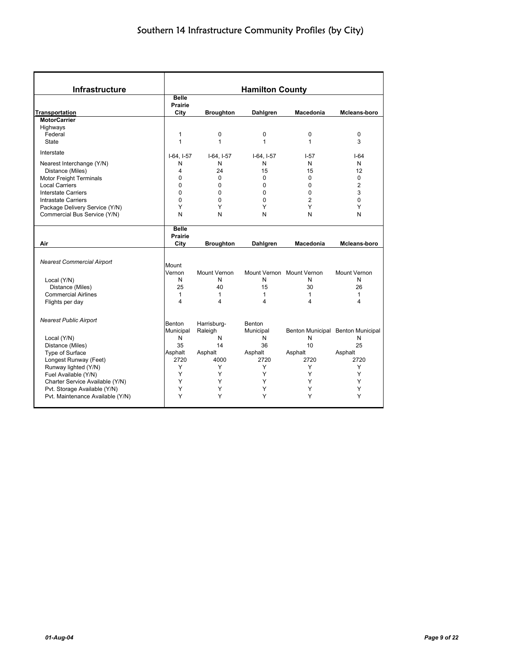| <b>Infrastructure</b>                                                                                                                                                                                                                  |                                                                                                      |                                                              | <b>Hamilton County</b>                                       |                                                                     |                                                                  |
|----------------------------------------------------------------------------------------------------------------------------------------------------------------------------------------------------------------------------------------|------------------------------------------------------------------------------------------------------|--------------------------------------------------------------|--------------------------------------------------------------|---------------------------------------------------------------------|------------------------------------------------------------------|
| <b>Transportation</b>                                                                                                                                                                                                                  | <b>Belle</b><br>Prairie<br>City                                                                      | <b>Broughton</b>                                             | <b>Dahlgren</b>                                              | Macedonia                                                           | Mcleans-boro                                                     |
| <b>MotorCarrier</b>                                                                                                                                                                                                                    |                                                                                                      |                                                              |                                                              |                                                                     |                                                                  |
| Highways<br>Federal<br><b>State</b>                                                                                                                                                                                                    | 1<br>$\mathbf{1}$                                                                                    | 0<br>1                                                       | 0<br>$\mathbf{1}$                                            | $\mathbf 0$<br>$\mathbf{1}$                                         | $\mathbf 0$<br>3                                                 |
| Interstate                                                                                                                                                                                                                             |                                                                                                      |                                                              |                                                              |                                                                     | $1-64$                                                           |
| Nearest Interchange (Y/N)<br>Distance (Miles)<br><b>Motor Freight Terminals</b><br><b>Local Carriers</b><br><b>Interstate Carriers</b><br><b>Intrastate Carriers</b><br>Package Delivery Service (Y/N)<br>Commercial Bus Service (Y/N) | $I-64, I-57$<br>N<br>4<br>0<br>$\Omega$<br>0<br>$\Omega$<br>Y<br>N<br><b>Belle</b><br><b>Prairie</b> | $I-64, I-57$<br>N<br>24<br>0<br>0<br>0<br>$\Omega$<br>Y<br>N | $I-64, I-57$<br>N<br>15<br>0<br>0<br>0<br>$\Omega$<br>Υ<br>N | $I-57$<br>N<br>15<br>0<br>$\Omega$<br>0<br>$\overline{2}$<br>Y<br>N | N<br>12<br>$\Omega$<br>$\overline{2}$<br>3<br>$\Omega$<br>Y<br>N |
| Air                                                                                                                                                                                                                                    | City                                                                                                 | <b>Broughton</b>                                             | Dahlgren                                                     | <b>Macedonia</b>                                                    | Mcleans-boro                                                     |
| <b>Nearest Commercial Airport</b><br>Local (Y/N)<br>Distance (Miles)                                                                                                                                                                   | Mount<br>Vernon<br>N<br>25                                                                           | Mount Vernon<br>N<br>40                                      | N<br>15                                                      | Mount Vernon Mount Vernon<br>N<br>30                                | Mount Vernon<br>N<br>26                                          |
| <b>Commercial Airlines</b>                                                                                                                                                                                                             | $\mathbf{1}$                                                                                         | 1                                                            | 1                                                            | $\mathbf{1}$                                                        | 1                                                                |
| Flights per day                                                                                                                                                                                                                        | 4                                                                                                    | 4                                                            | 4                                                            | 4                                                                   | 4                                                                |
| <b>Nearest Public Airport</b>                                                                                                                                                                                                          | Benton<br>Municipal                                                                                  | Harrisburg-<br>Raleigh                                       | <b>Benton</b><br>Municipal                                   |                                                                     | Benton Municipal Benton Municipal                                |
| Local (Y/N)                                                                                                                                                                                                                            | N                                                                                                    | N                                                            | N                                                            | N                                                                   | N                                                                |
| Distance (Miles)                                                                                                                                                                                                                       | 35                                                                                                   | 14                                                           | 36                                                           | 10                                                                  | 25                                                               |
| Type of Surface                                                                                                                                                                                                                        | Asphalt                                                                                              | Asphalt                                                      | Asphalt                                                      | Asphalt                                                             | Asphalt                                                          |
| Longest Runway (Feet)                                                                                                                                                                                                                  | 2720                                                                                                 | 4000                                                         | 2720                                                         | 2720                                                                | 2720                                                             |
| Runway lighted (Y/N)                                                                                                                                                                                                                   | Y<br>Y                                                                                               | Y                                                            | Υ                                                            | Y                                                                   | Υ<br>Y                                                           |
| Fuel Available (Y/N)                                                                                                                                                                                                                   | Y                                                                                                    | Y<br>Υ                                                       | Y<br>Y                                                       | Y<br>Υ                                                              | Y                                                                |
| Charter Service Available (Y/N)<br>Pvt. Storage Available (Y/N)                                                                                                                                                                        | Y                                                                                                    | Y                                                            | Y                                                            | Y                                                                   | Y                                                                |
| Pvt. Maintenance Available (Y/N)                                                                                                                                                                                                       | Y                                                                                                    | Υ                                                            | Υ                                                            | Y                                                                   | Υ                                                                |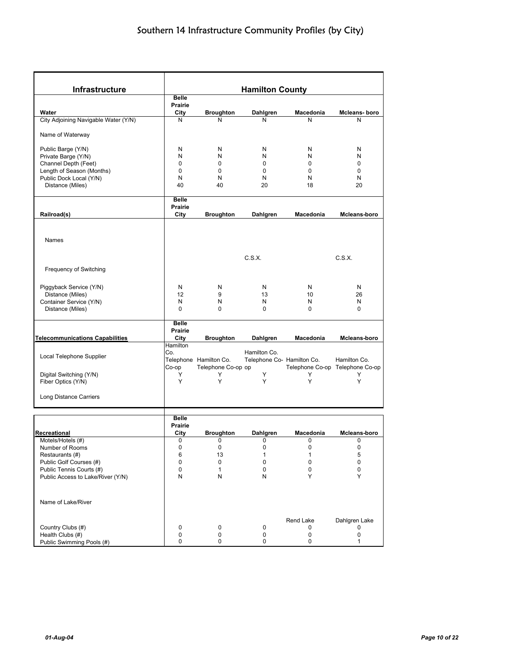| Infrastructure                         |                         |                        | <b>Hamilton County</b>     |              |                                 |  |  |  |
|----------------------------------------|-------------------------|------------------------|----------------------------|--------------|---------------------------------|--|--|--|
|                                        | <b>Belle</b><br>Prairie |                        |                            |              |                                 |  |  |  |
| Water                                  | City                    | <b>Broughton</b>       | Dahlgren                   | Macedonia    | Mcleans-boro                    |  |  |  |
| City Adjoining Navigable Water (Y/N)   | N                       | Ν                      | Ν                          | N            | N                               |  |  |  |
|                                        |                         |                        |                            |              |                                 |  |  |  |
| Name of Waterway                       |                         |                        |                            |              |                                 |  |  |  |
| Public Barge (Y/N)                     | N                       | N                      | N                          | N            | N                               |  |  |  |
| Private Barge (Y/N)                    | N                       | N                      | N                          | N            | N                               |  |  |  |
| Channel Depth (Feet)                   | 0                       | $\mathbf 0$            | $\mathbf 0$                | $\mathbf 0$  | 0                               |  |  |  |
| Length of Season (Months)              | $\Omega$                | 0                      | 0                          | 0            | 0                               |  |  |  |
| Public Dock Local (Y/N)                | N                       | N                      | N                          | N            | N                               |  |  |  |
| Distance (Miles)                       | 40                      | 40                     | 20                         | 18           | 20                              |  |  |  |
|                                        | <b>Belle</b>            |                        |                            |              |                                 |  |  |  |
|                                        | Prairie                 |                        |                            |              |                                 |  |  |  |
| Railroad(s)                            | City                    | <b>Broughton</b>       | Dahlgren                   | Macedonia    | Mcleans-boro                    |  |  |  |
|                                        |                         |                        |                            |              |                                 |  |  |  |
|                                        |                         |                        |                            |              |                                 |  |  |  |
| Names                                  |                         |                        |                            |              |                                 |  |  |  |
|                                        |                         |                        |                            |              |                                 |  |  |  |
|                                        |                         |                        | C.S.X.                     |              | C.S.X.                          |  |  |  |
| Frequency of Switching                 |                         |                        |                            |              |                                 |  |  |  |
|                                        |                         |                        |                            |              |                                 |  |  |  |
| Piggyback Service (Y/N)                | N                       | N                      | N                          | N            | N                               |  |  |  |
| Distance (Miles)                       | 12                      | 9                      | 13                         | 10           | 26                              |  |  |  |
| Container Service (Y/N)                | N                       | N                      | N                          | N            | N                               |  |  |  |
| Distance (Miles)                       | $\Omega$                | $\Omega$               | $\Omega$                   | $\Omega$     | $\Omega$                        |  |  |  |
|                                        |                         |                        |                            |              |                                 |  |  |  |
|                                        | <b>Belle</b>            |                        |                            |              |                                 |  |  |  |
|                                        | Prairie                 |                        |                            |              |                                 |  |  |  |
| <b>Telecommunications Capabilities</b> | City                    | <b>Broughton</b>       | Dahlgren                   | Macedonia    | Mcleans-boro                    |  |  |  |
|                                        | Hamilton<br>Co.         |                        | Hamilton Co.               |              |                                 |  |  |  |
| Local Telephone Supplier               |                         | Telephone Hamilton Co. | Telephone Co- Hamilton Co. |              | Hamilton Co.                    |  |  |  |
|                                        | Co-op                   | Telephone Co-op op     |                            |              | Telephone Co-op Telephone Co-op |  |  |  |
| Digital Switching (Y/N)                | Y                       | Y                      | Y                          | Y            | Y                               |  |  |  |
| Fiber Optics (Y/N)                     | Y                       | Y                      | Y                          | Y            | Y                               |  |  |  |
|                                        |                         |                        |                            |              |                                 |  |  |  |
| <b>Long Distance Carriers</b>          |                         |                        |                            |              |                                 |  |  |  |
|                                        |                         |                        |                            |              |                                 |  |  |  |
|                                        | <b>Belle</b>            |                        |                            |              |                                 |  |  |  |
|                                        | Prairie                 |                        |                            |              |                                 |  |  |  |
| Recreational                           | City                    | <b>Broughton</b>       | Dahlgren                   | Macedonia    | Mcleans-boro                    |  |  |  |
| Motels/Hotels (#)                      | 0                       | 0                      | 0                          | 0            | 0                               |  |  |  |
| Number of Rooms                        | 0                       | 0                      | 0                          | 0            | 0                               |  |  |  |
| Restaurants (#)                        | 6                       | 13                     | $\mathbf{1}$               | $\mathbf{1}$ | 5                               |  |  |  |
| Public Golf Courses (#)                | 0                       | 0                      | 0                          | $\mathbf 0$  | 0                               |  |  |  |
| Public Tennis Courts (#)               | 0                       | $\mathbf{1}$           | 0                          | 0            | 0                               |  |  |  |
| Public Access to Lake/River (Y/N)      | N                       | Ν                      | Ν                          | Y            | Υ                               |  |  |  |
|                                        |                         |                        |                            |              |                                 |  |  |  |
|                                        |                         |                        |                            |              |                                 |  |  |  |
| Name of Lake/River                     |                         |                        |                            |              |                                 |  |  |  |
|                                        |                         |                        |                            |              |                                 |  |  |  |
|                                        |                         |                        |                            | Rend Lake    | Dahlgren Lake                   |  |  |  |
| Country Clubs (#)                      | 0                       | 0                      | 0                          | 0            | 0                               |  |  |  |
| Health Clubs (#)                       | 0<br>0                  | $\mathbf 0$<br>0       | 0<br>0                     | 0<br>0       | 0<br>1                          |  |  |  |
| Public Swimming Pools (#)              |                         |                        |                            |              |                                 |  |  |  |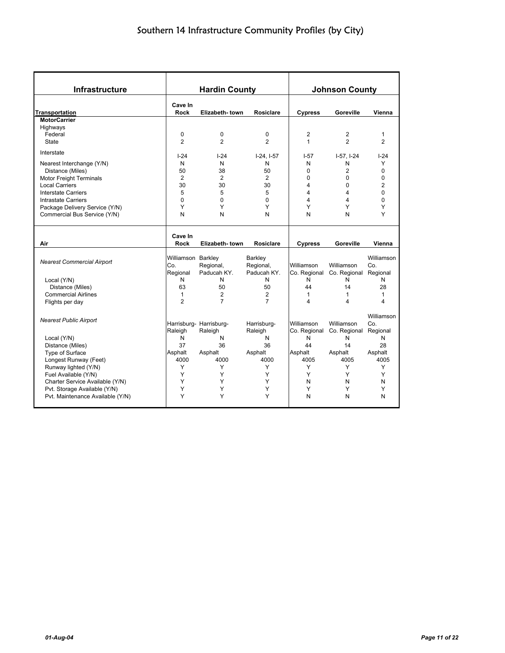| <b>Infrastructure</b>                       | <b>Hardin County</b>           |                         |                      |                   | <b>Johnson County</b> |                |
|---------------------------------------------|--------------------------------|-------------------------|----------------------|-------------------|-----------------------|----------------|
| <b>Transportation</b>                       | Cave In<br><b>Rock</b>         | Elizabeth-town          | <b>Rosiclare</b>     | <b>Cypress</b>    | Goreville             | Vienna         |
| <b>MotorCarrier</b>                         |                                |                         |                      |                   |                       |                |
| Highways                                    |                                |                         |                      |                   |                       |                |
| Federal                                     | 0                              | 0                       | 0                    | 2                 | $\overline{c}$        | 1              |
| State                                       | 2                              | $\overline{2}$          | $\overline{2}$       | $\mathbf{1}$      | $\overline{2}$        | $\overline{2}$ |
| Interstate                                  |                                |                         |                      |                   | $I-57, I-24$          | $I-24$         |
| Nearest Interchange (Y/N)                   | $-24$<br>N                     | $I-24$<br>N             | $I-24, I-57$<br>N    | $-57$<br>N        | N                     | Υ              |
|                                             | 50                             | 38                      | 50                   | $\Omega$          | $\overline{2}$        | $\Omega$       |
| Distance (Miles)<br>Motor Freight Terminals | $\overline{2}$                 | 2                       | $\overline{2}$       | $\Omega$          | 0                     | $\mathbf 0$    |
| <b>Local Carriers</b>                       | 30                             | 30                      | 30                   | 4                 | 0                     | $\overline{2}$ |
| <b>Interstate Carriers</b>                  | 5                              | 5                       | 5                    | 4                 | 4                     | $\Omega$       |
| <b>Intrastate Carriers</b>                  | $\Omega$                       | $\Omega$                | 0                    | 4                 | 4                     | $\Omega$       |
| Package Delivery Service (Y/N)              | Y                              | Y                       | Υ                    | Υ                 | Υ                     | Υ              |
| Commercial Bus Service (Y/N)                | N                              | N                       | N                    | N                 | N                     | Υ              |
|                                             |                                |                         |                      |                   |                       |                |
|                                             |                                |                         |                      |                   |                       |                |
|                                             | Cave In                        |                         |                      |                   |                       |                |
| Air                                         | <b>Rock</b>                    | Elizabeth-town          | <b>Rosiclare</b>     | <b>Cypress</b>    | Goreville             | Vienna         |
|                                             |                                |                         |                      |                   |                       |                |
| <b>Nearest Commercial Airport</b>           | Williamson Barkley             |                         | Barkley              |                   | Williamson            | Williamson     |
|                                             | Co.                            | Regional,               | Regional,            | Williamson        |                       | Co.            |
|                                             | Regional                       | Paducah KY.             | Paducah KY.<br>N     | Co. Regional      | Co. Regional          | Regional       |
| Local (Y/N)                                 | N                              | N<br>50                 |                      | N                 | N<br>14               | N              |
| Distance (Miles)                            | 63                             | $\overline{2}$          | 50<br>$\overline{2}$ | 44                | 1                     | 28<br>1        |
| <b>Commercial Airlines</b>                  | $\mathbf{1}$<br>$\overline{2}$ | $\overline{7}$          | $\overline{7}$       | $\mathbf{1}$<br>4 | 4                     | 4              |
| Flights per day                             |                                |                         |                      |                   |                       |                |
|                                             |                                |                         |                      |                   |                       | Williamson     |
| <b>Nearest Public Airport</b>               |                                | Harrisburg- Harrisburg- | Harrisburg-          | Williamson        | Williamson            | Co.            |
|                                             | Raleigh                        | Raleigh                 | Raleigh              | Co. Regional      | Co. Regional          | Regional       |
| Local (Y/N)                                 | N                              | N                       | N                    | N                 | N                     | N              |
| Distance (Miles)                            | 37                             | 36                      | 36                   | 44                | 14                    | 28             |
| Type of Surface                             | Asphalt                        | Asphalt                 | Asphalt              | Asphalt           | Asphalt               | Asphalt        |
| Longest Runway (Feet)                       | 4000                           | 4000                    | 4000                 | 4005              | 4005                  | 4005           |
| Runway lighted (Y/N)                        | Y                              | Y                       | Y                    | Y                 | Y                     | Y              |
| Fuel Available (Y/N)                        | Y                              | Y                       | Y                    | Y                 | Y                     | Y              |
| Charter Service Available (Y/N)             | Y                              | Y                       | Y                    | N                 | N                     | N              |
| Pvt. Storage Available (Y/N)                | Υ                              | Y                       | Υ                    | Υ                 | Υ                     | Υ              |
| Pvt. Maintenance Available (Y/N)            | Υ                              | Υ                       | Υ                    | N                 | N                     | N              |
|                                             |                                |                         |                      |                   |                       |                |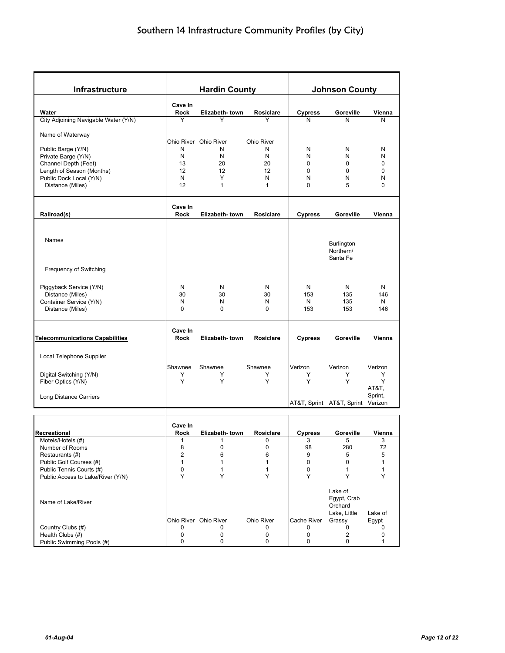| Infrastructure                                      |                  | <b>Hardin County</b>       |                  |                | <b>Johnson County</b>     |                              |  |  |
|-----------------------------------------------------|------------------|----------------------------|------------------|----------------|---------------------------|------------------------------|--|--|
|                                                     |                  |                            |                  |                |                           |                              |  |  |
| Water                                               | Cave In<br>Rock  | Elizabeth-town             | <b>Rosiclare</b> | <b>Cypress</b> | Goreville                 | Vienna                       |  |  |
| City Adjoining Navigable Water (Y/N)                | Y                | Y                          | Y                | N              | N                         | N                            |  |  |
|                                                     |                  |                            |                  |                |                           |                              |  |  |
| Name of Waterway                                    |                  |                            |                  |                |                           |                              |  |  |
| Public Barge (Y/N)                                  | N                | Ohio River Ohio River<br>N | Ohio River<br>N  | N              | N                         | N                            |  |  |
| Private Barge (Y/N)                                 | N                | N                          | N                | N              | N                         | N                            |  |  |
| Channel Depth (Feet)                                | 13               | 20                         | 20               | 0              | 0                         | 0                            |  |  |
| Length of Season (Months)                           | 12               | 12                         | 12               | 0              | 0                         | 0                            |  |  |
| Public Dock Local (Y/N)                             | N                | Y                          | N                | N              | N                         | N                            |  |  |
| Distance (Miles)                                    | 12               | $\mathbf{1}$               | 1                | 0              | 5                         | 0                            |  |  |
|                                                     | Cave In          |                            |                  |                |                           |                              |  |  |
| Railroad(s)                                         | Rock             | Elizabeth-town             | <b>Rosiclare</b> | <b>Cypress</b> | Goreville                 | Vienna                       |  |  |
|                                                     |                  |                            |                  |                |                           |                              |  |  |
|                                                     |                  |                            |                  |                |                           |                              |  |  |
| Names                                               |                  |                            |                  |                | <b>Burlington</b>         |                              |  |  |
|                                                     |                  |                            |                  |                | Northern/                 |                              |  |  |
|                                                     |                  |                            |                  |                | Santa Fe                  |                              |  |  |
| Frequency of Switching                              |                  |                            |                  |                |                           |                              |  |  |
|                                                     |                  |                            |                  |                |                           |                              |  |  |
| Piggyback Service (Y/N)                             | N                | N                          | N                | N              | N                         | N                            |  |  |
| Distance (Miles)                                    | 30               | 30                         | 30               | 153            | 135                       | 146                          |  |  |
| Container Service (Y/N)<br>Distance (Miles)         | N<br>$\mathbf 0$ | N<br>0                     | N<br>0           | N<br>153       | 135<br>153                | N<br>146                     |  |  |
|                                                     |                  |                            |                  |                |                           |                              |  |  |
|                                                     | Cave In          |                            |                  |                |                           |                              |  |  |
| <b>Telecommunications Capabilities</b>              | Rock             | Elizabeth-town             | <b>Rosiclare</b> | <b>Cypress</b> | Goreville                 | Vienna                       |  |  |
|                                                     |                  |                            |                  |                |                           |                              |  |  |
| Local Telephone Supplier                            |                  |                            |                  |                |                           |                              |  |  |
|                                                     | Shawnee          | Shawnee                    | Shawnee          | Verizon        | Verizon                   | Verizon                      |  |  |
| Digital Switching (Y/N)                             | Y                | Y                          | Y                | Y              | Υ                         | Y                            |  |  |
| Fiber Optics (Y/N)                                  | Y                | Y                          | Y                | Y              | Υ                         | Y                            |  |  |
| Long Distance Carriers                              |                  |                            |                  |                |                           | AT&T,<br>Sprint,             |  |  |
|                                                     |                  |                            |                  |                | AT&T, Sprint AT&T, Sprint | Verizon                      |  |  |
|                                                     |                  |                            |                  |                |                           |                              |  |  |
|                                                     | Cave In          |                            |                  |                |                           |                              |  |  |
| Recreational                                        | Rock             | Elizabeth-town             | <b>Rosiclare</b> | <b>Cypress</b> | Goreville                 | Vienna                       |  |  |
| Motels/Hotels (#)                                   |                  |                            | 0                | 3              | 5                         | 3                            |  |  |
| Number of Rooms                                     | 8                | 0                          | 0                | 98             | 280                       | 72                           |  |  |
| Restaurants (#)                                     | $\overline{2}$   | 6                          | 6                | 9              | 5                         | 5                            |  |  |
| Public Golf Courses (#)<br>Public Tennis Courts (#) | 1<br>0           | 1<br>1                     | 1<br>1           | 0<br>0         | 0<br>1                    | $\mathbf{1}$<br>$\mathbf{1}$ |  |  |
| Public Access to Lake/River (Y/N)                   | Υ                | Y                          | Y                | Y              | Y                         | Y                            |  |  |
|                                                     |                  |                            |                  |                |                           |                              |  |  |
|                                                     |                  |                            |                  |                | Lake of                   |                              |  |  |
| Name of Lake/River                                  |                  |                            |                  |                | Egypt, Crab               |                              |  |  |
|                                                     |                  |                            |                  |                | Orchard<br>Lake, Little   | Lake of                      |  |  |
|                                                     |                  | Ohio River Ohio River      | Ohio River       | Cache River    | Grassy                    | Egypt                        |  |  |
| Country Clubs (#)                                   | 0                | 0                          | 0                | 0              | 0                         | 0                            |  |  |
| Health Clubs (#)                                    | 0                | 0                          | 0                | 0              | 2                         | 0                            |  |  |
| Public Swimming Pools (#)                           | 0                | 0                          | 0                | 0              | 0                         | 1                            |  |  |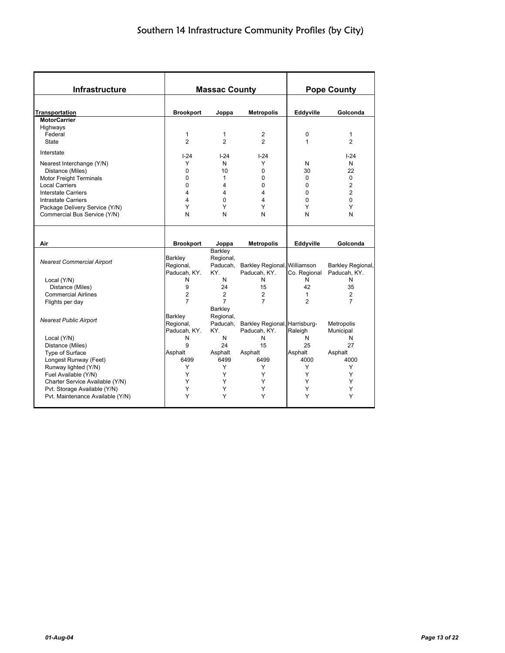| Infrastructure                                                                                                                                                                                                                  |                                                           | <b>Massac County</b>                              |                                                         | <b>Pope County</b>                    |                                                                               |  |
|---------------------------------------------------------------------------------------------------------------------------------------------------------------------------------------------------------------------------------|-----------------------------------------------------------|---------------------------------------------------|---------------------------------------------------------|---------------------------------------|-------------------------------------------------------------------------------|--|
| Transportation                                                                                                                                                                                                                  | <b>Brookport</b>                                          | Joppa                                             | <b>Metropolis</b>                                       | Eddyville                             | Golconda                                                                      |  |
| <b>MotorCarrier</b>                                                                                                                                                                                                             |                                                           |                                                   |                                                         |                                       |                                                                               |  |
| Highways<br>Federal<br><b>State</b>                                                                                                                                                                                             | $\mathbf{1}$<br>$\overline{2}$                            | 1<br>$\overline{2}$                               | 2<br>$\overline{2}$                                     | 0<br>1                                | $\mathbf{1}$<br>$\overline{2}$                                                |  |
| Interstate                                                                                                                                                                                                                      | $I-24$                                                    |                                                   |                                                         |                                       | $I-24$                                                                        |  |
| Nearest Interchange (Y/N)<br>Distance (Miles)<br><b>Motor Freight Terminals</b><br><b>Local Carriers</b><br>Interstate Carriers<br><b>Intrastate Carriers</b><br>Package Delivery Service (Y/N)<br>Commercial Bus Service (Y/N) | Y<br>$\Omega$<br>$\Omega$<br>$\Omega$<br>4<br>4<br>Y<br>N | $1 - 24$<br>N<br>10<br>1<br>4<br>4<br>0<br>Y<br>N | $I - 24$<br>Y<br>0<br>$\Omega$<br>0<br>4<br>4<br>Y<br>N | N<br>30<br>0<br>0<br>0<br>0<br>Y<br>N | N<br>22<br>$\Omega$<br>$\overline{2}$<br>$\overline{2}$<br>$\Omega$<br>Y<br>N |  |
| Air                                                                                                                                                                                                                             | <b>Brookport</b>                                          | Joppa                                             | <b>Metropolis</b>                                       | Eddyville                             | Golconda                                                                      |  |
| <b>Nearest Commercial Airport</b>                                                                                                                                                                                               | <b>Barkley</b><br>Regional,<br>Paducah, KY.               | Barkley<br>Regional,<br>Paducah,<br>KY.           | Barkley Regional, Williamson<br>Paducah, KY.            | Co. Regional                          | Barkley Regional,<br>Paducah, KY.                                             |  |
| Local (Y/N)                                                                                                                                                                                                                     | N                                                         | N                                                 | N                                                       | N                                     | N                                                                             |  |
| Distance (Miles)                                                                                                                                                                                                                | 9                                                         | 24                                                | 15                                                      | 42                                    | 35                                                                            |  |
| <b>Commercial Airlines</b>                                                                                                                                                                                                      | $\overline{c}$                                            | $\overline{2}$                                    | 2                                                       | 1                                     | $\overline{2}$                                                                |  |
| Flights per day                                                                                                                                                                                                                 | $\overline{7}$                                            | $\overline{7}$<br>Barkley                         | $\overline{7}$                                          | $\overline{2}$                        | $\overline{7}$                                                                |  |
| <b>Nearest Public Airport</b>                                                                                                                                                                                                   | Barkley<br>Regional,<br>Paducah, KY.                      | Regional,<br>KY.                                  | Paducah, Barkley Regional, Harrisburg-<br>Paducah, KY.  | Raleigh                               | Metropolis<br>Municipal                                                       |  |
| Local (Y/N)                                                                                                                                                                                                                     | N                                                         | N                                                 | N                                                       | N                                     | N                                                                             |  |
| Distance (Miles)                                                                                                                                                                                                                | 9                                                         | 24                                                | 15                                                      | 25                                    | 27                                                                            |  |
| Type of Surface                                                                                                                                                                                                                 | Asphalt                                                   | Asphalt                                           | Asphalt                                                 | Asphalt                               | Asphalt                                                                       |  |
| Longest Runway (Feet)                                                                                                                                                                                                           | 6499                                                      | 6499                                              | 6499                                                    | 4000                                  | 4000                                                                          |  |
| Runway lighted (Y/N)<br>Fuel Available (Y/N)                                                                                                                                                                                    | Y<br>Y                                                    | Y<br>Y                                            | Y<br>Y                                                  | Y<br>Y                                | Y<br>Y                                                                        |  |
| Charter Service Available (Y/N)                                                                                                                                                                                                 | Y                                                         | Υ                                                 | Υ                                                       | Υ                                     | Y                                                                             |  |
| Pvt. Storage Available (Y/N)                                                                                                                                                                                                    | Y                                                         | Y                                                 | Υ                                                       | Y                                     | Y                                                                             |  |
| Pvt. Maintenance Available (Y/N)                                                                                                                                                                                                | Y                                                         | Y                                                 | Υ                                                       | Y                                     | Y                                                                             |  |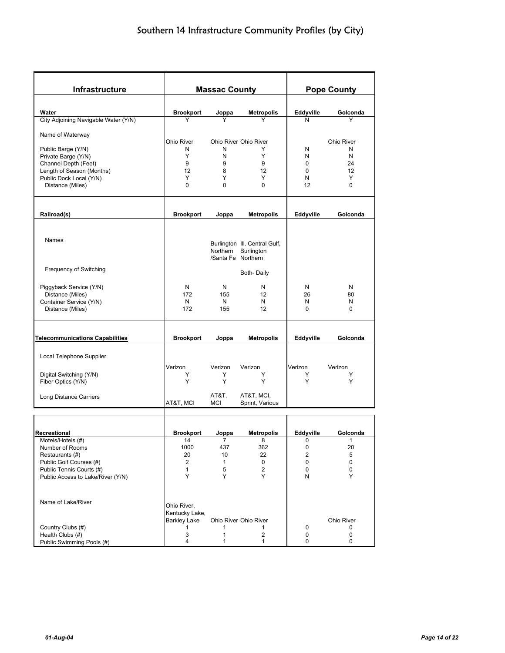| Infrastructure                                       |                     | <b>Massac County</b> |                               | <b>Pope County</b> |                   |  |  |
|------------------------------------------------------|---------------------|----------------------|-------------------------------|--------------------|-------------------|--|--|
|                                                      |                     |                      |                               |                    |                   |  |  |
| Water                                                | <b>Brookport</b>    | Joppa                | <b>Metropolis</b>             | Eddyville          | Golconda          |  |  |
| City Adjoining Navigable Water (Y/N)                 | Y                   |                      |                               | N                  | Y                 |  |  |
|                                                      |                     |                      |                               |                    |                   |  |  |
| Name of Waterway                                     | Ohio River          |                      | Ohio River Ohio River         |                    | <b>Ohio River</b> |  |  |
| Public Barge (Y/N)                                   | N                   | N                    | Y                             | N                  | N                 |  |  |
| Private Barge (Y/N)                                  | Y                   | N                    | Y                             | Ν                  | N                 |  |  |
| Channel Depth (Feet)                                 | 9                   | 9                    | 9                             | $\mathbf 0$        | 24                |  |  |
| Length of Season (Months)<br>Public Dock Local (Y/N) | 12<br>Y             | 8<br>Y               | 12<br>Y                       | $\mathbf 0$<br>Ν   | 12<br>Y           |  |  |
| Distance (Miles)                                     | $\Omega$            | 0                    | 0                             | 12                 | 0                 |  |  |
|                                                      |                     |                      |                               |                    |                   |  |  |
|                                                      |                     |                      |                               |                    |                   |  |  |
| Railroad(s)                                          | <b>Brookport</b>    | Joppa                | <b>Metropolis</b>             | Eddyville          | Golconda          |  |  |
|                                                      |                     |                      |                               |                    |                   |  |  |
| <b>Names</b>                                         |                     |                      | Burlington III. Central Gulf, |                    |                   |  |  |
|                                                      |                     | Northern             | Burlington                    |                    |                   |  |  |
|                                                      |                     | /Santa Fe Northern   |                               |                    |                   |  |  |
| Frequency of Switching                               |                     |                      |                               |                    |                   |  |  |
|                                                      |                     |                      | Both-Daily                    |                    |                   |  |  |
| Piggyback Service (Y/N)                              | N                   | N                    | N                             | N                  | N                 |  |  |
| Distance (Miles)                                     | 172                 | 155                  | 12                            | 26                 | 80                |  |  |
| Container Service (Y/N)                              | N                   | N                    | N                             | N                  | N                 |  |  |
| Distance (Miles)                                     | 172                 | 155                  | 12                            | $\mathbf 0$        | 0                 |  |  |
|                                                      |                     |                      |                               |                    |                   |  |  |
| <b>Telecommunications Capabilities</b>               | <b>Brookport</b>    | Joppa                | <b>Metropolis</b>             | Eddyville          | Golconda          |  |  |
|                                                      |                     |                      |                               |                    |                   |  |  |
| Local Telephone Supplier                             |                     |                      |                               |                    |                   |  |  |
|                                                      | Verizon             | Verizon              | Verizon                       | Verizon            | Verizon           |  |  |
| Digital Switching (Y/N)                              | Y                   | Y                    | Y                             | Y                  | Y                 |  |  |
| Fiber Optics (Y/N)                                   | Y                   | Y                    | Y                             | Y                  | Y                 |  |  |
| Long Distance Carriers                               |                     | AT&T.                | AT&T, MCI,                    |                    |                   |  |  |
|                                                      | AT&T, MCI           | MCI                  | Sprint, Various               |                    |                   |  |  |
|                                                      |                     |                      |                               |                    |                   |  |  |
| Recreational                                         | <b>Brookport</b>    | Joppa                | <b>Metropolis</b>             | Eddyville          | Golconda          |  |  |
| Motels/Hotels (#)                                    | 14                  |                      | 8                             | 0                  |                   |  |  |
| Number of Rooms                                      | 1000                | 437                  | 362                           | 0                  | 20                |  |  |
| Restaurants (#)                                      | 20                  | 10                   | 22                            | 2                  | 5                 |  |  |
| Public Golf Courses (#)                              | 2                   | 1                    | 0                             | 0                  | 0                 |  |  |
| Public Tennis Courts (#)                             | $\mathbf{1}$<br>Y   | $\sqrt{5}$<br>Y      | 2<br>Y                        | 0<br>Ν             | 0<br>Y            |  |  |
| Public Access to Lake/River (Y/N)                    |                     |                      |                               |                    |                   |  |  |
|                                                      |                     |                      |                               |                    |                   |  |  |
| Name of Lake/River                                   | Ohio River,         |                      |                               |                    |                   |  |  |
|                                                      | Kentucky Lake,      |                      |                               |                    |                   |  |  |
|                                                      | <b>Barkley Lake</b> |                      | Ohio River Ohio River         |                    | Ohio River        |  |  |
| Country Clubs (#)<br>Health Clubs (#)                | 1<br>3              | 1<br>1               | 1<br>2                        | 0<br>0             | 0<br>0            |  |  |
| Public Swimming Pools (#)                            | 4                   | 1                    | 1                             | 0                  | 0                 |  |  |
|                                                      |                     |                      |                               |                    |                   |  |  |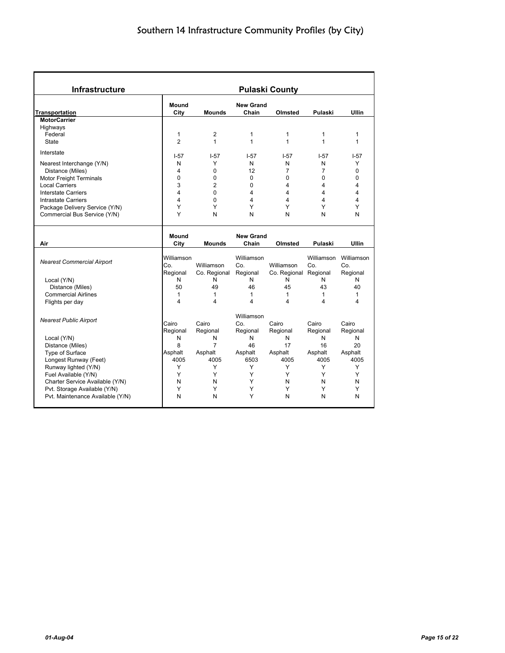| <b>Infrastructure</b>             |                   | <b>Pulaski County</b> |                  |                         |                   |                   |  |  |  |  |
|-----------------------------------|-------------------|-----------------------|------------------|-------------------------|-------------------|-------------------|--|--|--|--|
|                                   | Mound             |                       | <b>New Grand</b> |                         |                   |                   |  |  |  |  |
| <b>Transportation</b>             | City              | <b>Mounds</b>         | Chain            | Olmsted                 | Pulaski           | <b>Ullin</b>      |  |  |  |  |
| <b>MotorCarrier</b>               |                   |                       |                  |                         |                   |                   |  |  |  |  |
| Highways                          |                   |                       |                  |                         |                   |                   |  |  |  |  |
| Federal                           | 1                 | $\overline{2}$        | 1                | $\mathbf{1}$            | 1                 | 1                 |  |  |  |  |
| State                             | $\overline{2}$    | $\mathbf{1}$          | $\mathbf{1}$     | $\mathbf{1}$            | $\mathbf{1}$      | $\mathbf{1}$      |  |  |  |  |
| Interstate                        | $1 - 57$          | $I-57$                | $I-57$           | $I-57$                  | $-57$             | $I-57$            |  |  |  |  |
| Nearest Interchange (Y/N)         | N                 | Y                     | N                | N                       | N                 | Υ                 |  |  |  |  |
| Distance (Miles)                  | 4                 | 0                     | 12               | $\overline{7}$          | $\overline{7}$    | 0                 |  |  |  |  |
| Motor Freight Terminals           | 0                 | 0                     | $\Omega$         | $\mathbf{0}$            | 0                 | 0                 |  |  |  |  |
| <b>Local Carriers</b>             | 3                 | $\overline{2}$        | $\Omega$         | $\overline{4}$          | 4                 | 4                 |  |  |  |  |
| Interstate Carriers               | 4                 | 0                     | 4                | $\overline{4}$          | 4                 | 4                 |  |  |  |  |
| <b>Intrastate Carriers</b>        | 4                 | 0                     | 4                | $\overline{\mathbf{4}}$ | 4                 | 4                 |  |  |  |  |
| Package Delivery Service (Y/N)    | Υ                 | Υ                     | Y                | Y                       | Υ                 | Υ                 |  |  |  |  |
| Commercial Bus Service (Y/N)      | Υ                 | N                     | N                | N                       | N                 | N                 |  |  |  |  |
|                                   |                   |                       |                  |                         |                   |                   |  |  |  |  |
|                                   | <b>Mound</b>      |                       | <b>New Grand</b> |                         |                   |                   |  |  |  |  |
| Air                               | City              | <b>Mounds</b>         | Chain            | Olmsted                 | Pulaski           | <b>Ullin</b>      |  |  |  |  |
|                                   | Williamson        |                       | Williamson       |                         | Williamson        | Williamson        |  |  |  |  |
| <b>Nearest Commercial Airport</b> | Co.               | Williamson            | Co.              | Williamson              | Co.               | Co.               |  |  |  |  |
|                                   | Regional          | Co. Regional          | Regional         | Co. Regional Regional   |                   | Regional          |  |  |  |  |
| Local (Y/N)                       | N                 | N                     | N                | N                       | N                 | N                 |  |  |  |  |
| Distance (Miles)                  | 50                | 49                    | 46               | 45                      | 43                | 40                |  |  |  |  |
|                                   |                   | 1                     |                  | $\mathbf{1}$            |                   |                   |  |  |  |  |
| <b>Commercial Airlines</b>        | $\mathbf{1}$<br>4 | 4                     | 1<br>4           | 4                       | $\mathbf{1}$<br>4 | $\mathbf{1}$<br>4 |  |  |  |  |
| Flights per day                   |                   |                       |                  |                         |                   |                   |  |  |  |  |
| <b>Nearest Public Airport</b>     |                   |                       | Williamson       |                         |                   |                   |  |  |  |  |
|                                   | Cairo             | Cairo                 | Co.              | Cairo                   | Cairo             | Cairo             |  |  |  |  |
|                                   | Regional          | Regional              | Regional         | Regional                | Regional          | Regional          |  |  |  |  |
| Local (Y/N)                       | N                 | N                     | N                | N                       | N                 | N                 |  |  |  |  |
| Distance (Miles)                  | 8                 | $\overline{7}$        | 46               | 17                      | 16                | 20                |  |  |  |  |
| Type of Surface                   | Asphalt           | Asphalt               | Asphalt          | Asphalt                 | Asphalt           | Asphalt           |  |  |  |  |
| Longest Runway (Feet)             | 4005              | 4005                  | 6503             | 4005                    | 4005              | 4005              |  |  |  |  |
| Runway lighted (Y/N)              | Υ                 | Y                     | Y                | Y                       | Y                 | Υ                 |  |  |  |  |
| Fuel Available (Y/N)              | Y                 | Y                     | Y                | Y                       | Y                 | Y                 |  |  |  |  |
| Charter Service Available (Y/N)   | N                 | N                     | Y                | N                       | N                 | N                 |  |  |  |  |
|                                   |                   |                       |                  |                         |                   |                   |  |  |  |  |
| Pvt. Storage Available (Y/N)      | Y                 | Y                     | Y                | Y                       | Y                 | Y                 |  |  |  |  |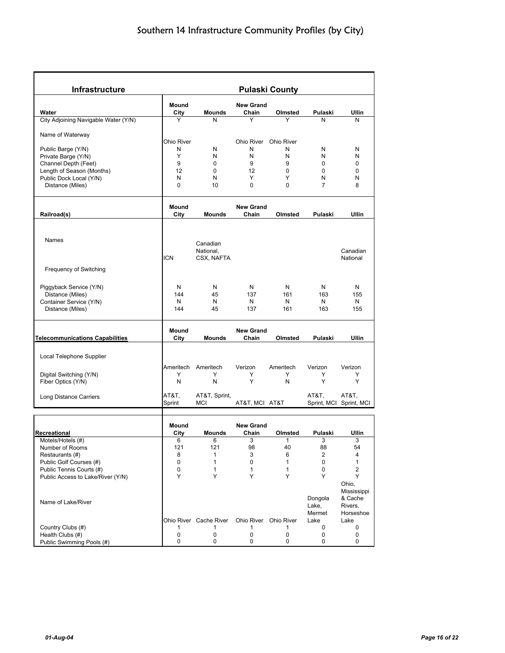| Infrastructure                                | <b>Pulaski County</b> |                        |                  |            |                |                        |  |
|-----------------------------------------------|-----------------------|------------------------|------------------|------------|----------------|------------------------|--|
|                                               | Mound                 |                        | <b>New Grand</b> |            |                |                        |  |
| Water                                         | City                  | Mounds                 | Chain            | Olmsted    | Pulaski        | Ullin                  |  |
| City Adjoining Navigable Water (Y/N)          | Υ                     | N                      | Y                | Υ          | N              | N                      |  |
| Name of Waterway                              |                       |                        |                  |            |                |                        |  |
|                                               | <b>Ohio River</b>     |                        | Ohio River       | Ohio River |                |                        |  |
| Public Barge (Y/N)                            | N                     | N                      | N                | N          | N              | N                      |  |
| Private Barge (Y/N)                           | Υ                     | N                      | N                | N          | N              | N                      |  |
| Channel Depth (Feet)                          | 9                     | 0                      | 9                | 9          | 0              | 0                      |  |
| Length of Season (Months)                     | 12                    | 0                      | 12               | 0          | 0              | 0                      |  |
| Public Dock Local (Y/N)                       | N                     | N                      | Υ                | Y          | N              | N                      |  |
| Distance (Miles)                              | $\mathbf 0$           | 10                     | 0                | 0          | $\overline{7}$ | 8                      |  |
|                                               | Mound                 |                        | <b>New Grand</b> |            |                |                        |  |
| Railroad(s)                                   | City                  | <b>Mounds</b>          | Chain            | Olmsted    | Pulaski        | Ullin                  |  |
|                                               |                       |                        |                  |            |                |                        |  |
|                                               |                       |                        |                  |            |                |                        |  |
| Names                                         |                       | Canadian               |                  |            |                |                        |  |
|                                               |                       | National,              |                  |            |                | Canadian               |  |
|                                               | <b>ICN</b>            | CSX, NAFTA             |                  |            |                | National               |  |
| Frequency of Switching                        |                       |                        |                  |            |                |                        |  |
|                                               |                       |                        |                  |            |                |                        |  |
|                                               | N                     | N                      | N                | N          | N              | N                      |  |
| Piggyback Service (Y/N)<br>Distance (Miles)   | 144                   | 45                     | 137              | 161        | 163            | 155                    |  |
| Container Service (Y/N)                       | N                     | N                      | N                | N          | N              | N                      |  |
| Distance (Miles)                              | 144                   | 45                     | 137              | 161        | 163            | 155                    |  |
|                                               |                       |                        |                  |            |                |                        |  |
|                                               | Mound                 |                        | <b>New Grand</b> |            |                |                        |  |
| <b>Telecommunications Capabilities</b>        | City                  | <b>Mounds</b>          | Chain            | Olmsted    | Pulaski        | Ullin                  |  |
|                                               |                       |                        |                  |            |                |                        |  |
| Local Telephone Supplier                      |                       |                        |                  |            |                |                        |  |
|                                               | Ameritech             | Ameritech              | Verizon          | Ameritech  | Verizon        | Verizon                |  |
| Digital Switching (Y/N)                       | Y                     | Y                      | Y                | Y          | Y              | Y                      |  |
| Fiber Optics (Y/N)                            | N                     | N                      | Υ                | N          | Υ              | Y                      |  |
|                                               | AT&T,                 | AT&T, Sprint,          |                  |            | AT&T,          | AT&T,                  |  |
| Long Distance Carriers                        | Sprint                | <b>MCI</b>             | AT&T, MCI AT&T   |            | Sprint, MCI    | Sprint, MCI            |  |
|                                               |                       |                        |                  |            |                |                        |  |
|                                               | Mound                 |                        | <b>New Grand</b> |            |                |                        |  |
| Recreational                                  | City                  | Mounds                 | Chain            | Olmsted    | Pulaski        | Ullin                  |  |
| Motels/Hotels (#)                             | 6                     | 6                      | 3                |            | 3              | 3                      |  |
| Number of Rooms                               | 121                   | 121                    | 98               | 40         | 88             | 54                     |  |
| Restaurants (#)                               | 8                     | $\mathbf{1}$           | 3                | 6          | 2              | 4                      |  |
| Public Golf Courses (#)                       | 0                     | $\mathbf{1}$           | 0                | 1          | 0              | 1                      |  |
| Public Tennis Courts (#)                      | 0                     | 1                      | 1                | 1          | 0              | 2                      |  |
| Public Access to Lake/River (Y/N)             | Y                     | Y                      | Y                | Y          | Y              | Y                      |  |
|                                               |                       |                        |                  |            |                | Ohio,                  |  |
|                                               |                       |                        |                  |            | Dongola        | Mississippi<br>& Cache |  |
| Name of Lake/River                            |                       |                        |                  |            | Lake,          | Rivers,                |  |
|                                               |                       |                        |                  |            | Mermet         | Horseshoe              |  |
|                                               |                       | Ohio River Cache River | Ohio River       | Ohio River | Lake           | Lake                   |  |
|                                               | 1                     | 1                      | 1                | 1          | 0              | 0                      |  |
| Country Clubs (#)                             |                       |                        |                  |            |                |                        |  |
| Health Clubs (#)<br>Public Swimming Pools (#) | 0<br>0                | 0<br>0                 | 0<br>0           | 0<br>0     | 0<br>0         | 0<br>0                 |  |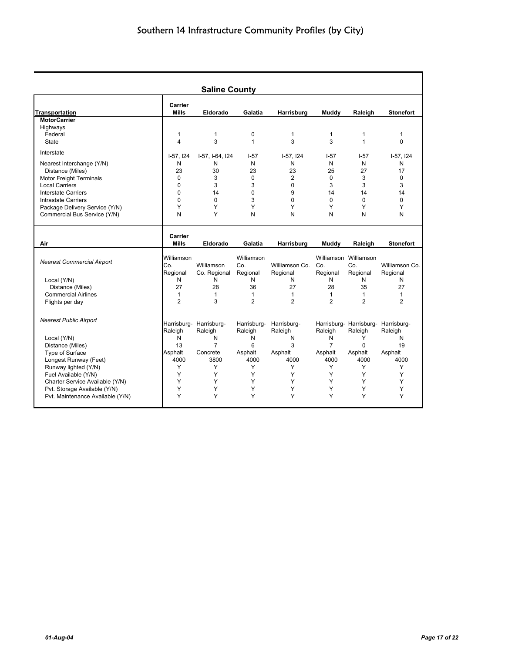|                                   |                  | <b>Saline County</b>    |                |                |                |                       |                                     |
|-----------------------------------|------------------|-------------------------|----------------|----------------|----------------|-----------------------|-------------------------------------|
| <b>Transportation</b>             | Carrier<br>Mills | Eldorado                | Galatia        | Harrisburg     | Muddy          | Raleigh               | <b>Stonefort</b>                    |
| <b>MotorCarrier</b>               |                  |                         |                |                |                |                       |                                     |
| Highways                          |                  |                         |                |                |                |                       |                                     |
| Federal                           | 1                | 1                       | $\mathbf 0$    | 1              | $\mathbf{1}$   | 1                     | $\mathbf 1$                         |
| State                             | 4                | 3                       | $\mathbf{1}$   | 3              | 3              | 1                     | $\Omega$                            |
| Interstate                        | $I-57, I24$      | I-57, I-64, I24         | $1-57$         | $I-57, I24$    | $1 - 57$       | $I-57$                | $I-57, I24$                         |
| Nearest Interchange (Y/N)         | N                | N                       | N              | N              | N              | N                     | N                                   |
| Distance (Miles)                  | 23               | 30                      | 23             | 23             | 25             | 27                    | 17                                  |
| <b>Motor Freight Terminals</b>    | $\Omega$         | 3                       | $\Omega$       | $\overline{2}$ | $\Omega$       | 3                     | $\Omega$                            |
| <b>Local Carriers</b>             | $\mathbf 0$      | 3                       | 3              | $\mathbf 0$    | 3              | 3                     | 3                                   |
| <b>Interstate Carriers</b>        | $\mathbf 0$      | 14                      | $\Omega$       | 9              | 14             | 14                    | 14                                  |
| <b>Intrastate Carriers</b>        | $\mathbf 0$      | $\Omega$                | 3              | $\mathbf 0$    | $\Omega$       | $\mathbf 0$           | $\Omega$                            |
| Package Delivery Service (Y/N)    | Υ                | Y                       | Υ              | Y              | Υ              | Υ                     | Υ                                   |
| Commercial Bus Service (Y/N)      | N                | Y                       | N              | N              | N              | N                     | N                                   |
| Air                               | Carrier<br>Mills | Eldorado                | Galatia        | Harrisburg     | Muddy          | Raleigh               | <b>Stonefort</b>                    |
|                                   |                  |                         |                |                |                |                       |                                     |
| <b>Nearest Commercial Airport</b> | Williamson       |                         | Williamson     |                |                | Williamson Williamson |                                     |
|                                   | Co.              | Williamson              | Co.            | Williamson Co. | Co.            | Co.                   | Williamson Co.                      |
|                                   | Regional         | Co. Regional            | Regional       | Regional       | Regional       | Regional              | Regional                            |
| Local (Y/N)                       | N                | N                       | Ν              | N              | N              | N                     | N                                   |
| Distance (Miles)                  | 27               | 28                      | 36             | 27             | 28             | 35                    | 27                                  |
| <b>Commercial Airlines</b>        | 1                | $\mathbf{1}$            | $\mathbf{1}$   | $\mathbf{1}$   | $\mathbf{1}$   | $\mathbf{1}$          | $\mathbf{1}$                        |
| Flights per day                   | $\overline{2}$   | 3                       | $\overline{2}$ | $\overline{2}$ | $\mathcal{P}$  | $\mathfrak{p}$        | $\overline{2}$                      |
| <b>Nearest Public Airport</b>     |                  | Harrisburg- Harrisburg- | Harrisburg-    | Harrisburg-    |                |                       | Harrisburg- Harrisburg- Harrisburg- |
|                                   | Raleigh          | Raleigh                 | Raleigh        | Raleigh        | Raleigh        | Raleigh               | Raleigh                             |
| Local (Y/N)                       | N                | N                       | N              | N              | N              | Y                     | N                                   |
| Distance (Miles)                  | 13               | $\overline{7}$          | 6              | 3              | $\overline{7}$ | $\Omega$              | 19                                  |
| Type of Surface                   | Asphalt          | Concrete                | Asphalt        | Asphalt        | Asphalt        | Asphalt               | Asphalt                             |
| Longest Runway (Feet)             | 4000             | 3800                    | 4000           | 4000           | 4000           | 4000                  | 4000                                |
| Runway lighted (Y/N)              | Y                | Y                       | Y              | Υ              | Y              | Y                     | Y                                   |
| Fuel Available (Y/N)              | Y                | Υ                       | Y              | Y              | Y              | Y                     | Y                                   |
| Charter Service Available (Y/N)   | Y                | Y                       | Υ              | Y              | Y              | Y                     | Y                                   |
| Pvt. Storage Available (Y/N)      | Y                | Y                       | Y              | Y              | Υ              | Y                     | Υ                                   |
| Pvt. Maintenance Available (Y/N)  | Y                | Υ                       | Υ              | Y              | Υ              | Υ                     | Υ                                   |

Ŧ.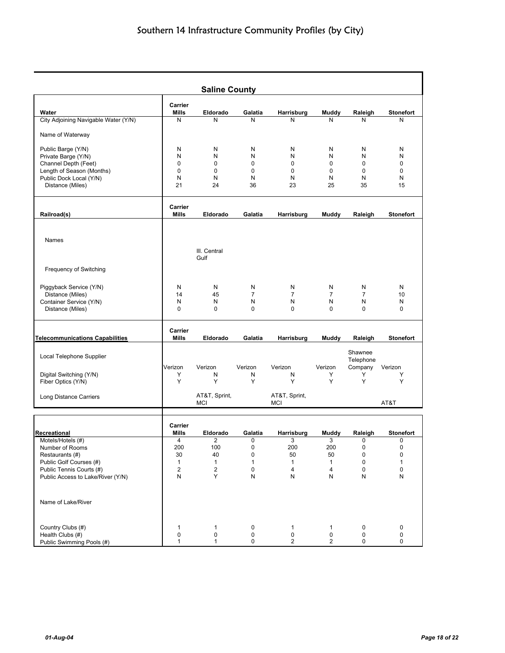|                                        |                  | <b>Saline County</b>    |                |                |                         |                      |                  |
|----------------------------------------|------------------|-------------------------|----------------|----------------|-------------------------|----------------------|------------------|
| Water                                  | Carrier<br>Mills | Eldorado                | Galatia        | Harrisburg     | Muddy                   | Raleigh              | <b>Stonefort</b> |
| City Adjoining Navigable Water (Y/N)   | N                | N                       | N              | N              | N                       | N                    | N                |
| Name of Waterway                       |                  |                         |                |                |                         |                      |                  |
| Public Barge (Y/N)                     | N                | N                       | N              | N              | N                       | N                    | N                |
| Private Barge (Y/N)                    | N                | N                       | N              | N              | N                       | N                    | N                |
| Channel Depth (Feet)                   | 0                | $\mathbf 0$             | 0              | $\mathbf 0$    | 0                       | 0                    | 0                |
| Length of Season (Months)              | 0                | $\mathbf 0$             | 0              | 0              | 0                       | 0                    | 0                |
| Public Dock Local (Y/N)                | N                | N                       | N              | N              | N                       | N                    | N                |
| Distance (Miles)                       | 21               | 24                      | 36             | 23             | 25                      | 35                   | 15               |
|                                        | Carrier<br>Mills | Eldorado                | Galatia        |                |                         |                      | <b>Stonefort</b> |
| Railroad(s)                            |                  |                         |                | Harrisburg     | Muddy                   | Raleigh              |                  |
| Names                                  |                  |                         |                |                |                         |                      |                  |
|                                        |                  | III. Central<br>Gulf    |                |                |                         |                      |                  |
| Frequency of Switching                 |                  |                         |                |                |                         |                      |                  |
| Piggyback Service (Y/N)                | N                | N                       | N              | N              | N                       | N                    | N                |
| Distance (Miles)                       | 14               | 45                      | $\overline{7}$ | $\overline{7}$ | $\overline{7}$          | $\overline{7}$       | 10               |
| Container Service (Y/N)                | Ν                | N                       | N              | N              | N                       | N                    | N                |
| Distance (Miles)                       | 0                | $\Omega$                | 0              | $\Omega$       | $\Omega$                | 0                    | 0                |
| <b>Telecommunications Capabilities</b> | Carrier<br>Mills | Eldorado                | Galatia        | Harrisburg     | Muddy                   | Raleigh              | <b>Stonefort</b> |
|                                        |                  |                         |                |                |                         |                      |                  |
| Local Telephone Supplier               | Verizon          | Verizon                 | Verizon        | Verizon        | Verizon                 | Shawnee<br>Telephone | Verizon          |
| Digital Switching (Y/N)                | Y                | N                       | N              | N              | Y                       | Company<br>Υ         | Y                |
| Fiber Optics (Y/N)                     | Y                | Y                       | Y              | Y              | Y                       | Y                    | Y                |
| Long Distance Carriers                 |                  | AT&T, Sprint,           |                | AT&T, Sprint,  |                         |                      |                  |
|                                        |                  | MCI                     |                | MCI            |                         |                      | AT&T             |
|                                        | Carrier          |                         |                |                |                         |                      |                  |
| Recreational                           | Mills            | Eldorado                | Galatia        | Harrisburg     | Muddy                   | Raleigh              | <b>Stonefort</b> |
| Motels/Hotels (#)                      | 4                | z                       | U              | 3              | 3                       | U                    | U                |
| Number of Rooms                        | 200              | 100                     | 0              | 200            | 200                     | 0                    | 0                |
| Restaurants (#)                        | 30               | 40                      | 0              | 50             | 50                      | 0                    | 0                |
| Public Golf Courses (#)                | $\mathbf{1}$     | $\mathbf{1}$            | $\mathbf{1}$   | 1              | $\mathbf{1}$            | 0                    | 1                |
| Public Tennis Courts (#)               | 2                | $\overline{\mathbf{c}}$ | 0              | 4              | $\overline{\mathbf{4}}$ | 0                    | 0                |
| Public Access to Lake/River (Y/N)      | N                | Y                       | N              | N              | N                       | N                    | ${\sf N}$        |
| Name of Lake/River                     |                  |                         |                |                |                         |                      |                  |
|                                        |                  |                         |                |                |                         |                      |                  |
| Country Clubs (#)                      | 1                | $\mathbf{1}$            | 0              | 1              | 1                       | 0                    | $\pmb{0}$        |
| Health Clubs (#)                       | 0                | 0                       | 0              | 0              | $\pmb{0}$               | 0                    | 0                |
| Public Swimming Pools (#)              | 1                | $\mathbf{1}$            | 0              | $\mathbf{2}$   | $\overline{\mathbf{c}}$ | 0                    | 0                |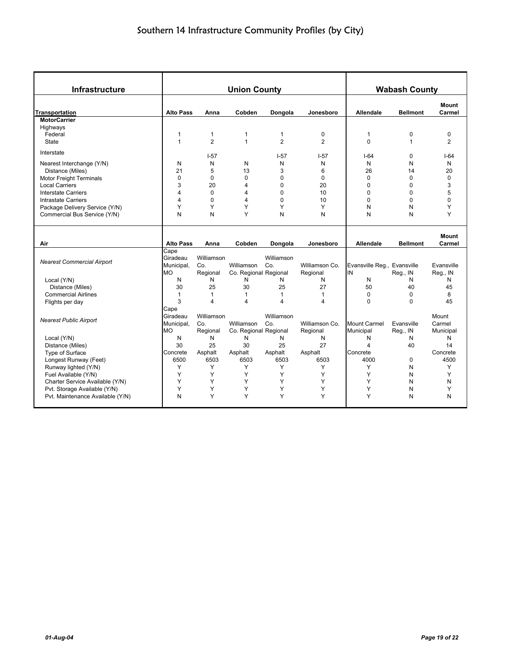| Infrastructure                    |                                     |                               | <b>Union County</b>                 |                   |                            |                                  | <b>Wabash County</b>   |                              |
|-----------------------------------|-------------------------------------|-------------------------------|-------------------------------------|-------------------|----------------------------|----------------------------------|------------------------|------------------------------|
| <b>Transportation</b>             | <b>Alto Pass</b>                    | Anna                          | Cobden                              | Dongola           | Jonesboro                  | <b>Allendale</b>                 | <b>Bellmont</b>        | Mount<br>Carmel              |
| <b>MotorCarrier</b>               |                                     |                               |                                     |                   |                            |                                  |                        |                              |
| Highways                          |                                     |                               |                                     |                   |                            |                                  |                        |                              |
| Federal                           | $\mathbf{1}$                        | $\mathbf{1}$                  | 1                                   | $\mathbf{1}$      | $\mathbf 0$                | $\mathbf{1}$                     | 0                      | 0                            |
| State                             | $\mathbf{1}$                        | $\overline{2}$                | $\mathbf{1}$                        | $\overline{2}$    | $\overline{2}$             | $\Omega$                         | $\mathbf{1}$           | 2                            |
| Interstate                        |                                     | $I - 57$                      |                                     | $-57$             | $I-57$                     | $I-64$                           | 0                      | $1-64$                       |
| Nearest Interchange (Y/N)         | N                                   | N                             | N                                   | N                 | N                          | N                                | N                      | N                            |
| Distance (Miles)                  | 21                                  | 5                             | 13                                  | 3                 | 6                          | 26                               | 14                     | 20                           |
| <b>Motor Freight Terminals</b>    | $\mathbf 0$                         | 0                             | 0                                   | 0                 | $\mathbf 0$                | $\Omega$                         | $\overline{0}$         | $\mathbf 0$                  |
| <b>Local Carriers</b>             | 3                                   | 20                            | 4                                   | 0                 | 20                         | $\Omega$                         | 0                      | 3                            |
| <b>Interstate Carriers</b>        | $\overline{4}$                      | $\Omega$                      | 4                                   | $\mathbf{0}$      | 10                         | $\Omega$                         | 0                      | 5                            |
| Intrastate Carriers               | $\overline{4}$                      | $\mathbf 0$                   | 4                                   | 0                 | 10                         | $\mathbf 0$                      | 0                      | $\mathbf 0$                  |
| Package Delivery Service (Y/N)    | Y                                   | Y                             | Υ                                   | Υ                 | Υ                          | N                                | N                      | Y                            |
| Commercial Bus Service (Y/N)      | N                                   | N                             | Y                                   | N                 | N                          | N                                | N                      | Y                            |
| Air                               | <b>Alto Pass</b>                    | Anna                          | Cobden                              | Dongola           | Jonesboro                  | <b>Allendale</b>                 | <b>Bellmont</b>        | <b>Mount</b><br>Carmel       |
|                                   | Cape                                |                               |                                     |                   |                            |                                  |                        |                              |
| <b>Nearest Commercial Airport</b> | Giradeau                            | Williamson                    |                                     | Williamson        |                            |                                  |                        |                              |
|                                   | Municipal,                          | Co.                           | Williamson                          | Co.               | Williamson Co.             | Evansville Reg., Evansville      |                        | Evansville                   |
|                                   | <b>MO</b>                           | Regional                      | Co. Regional Regional               |                   | Regional                   | IN                               | Reg., IN               | Reg., IN                     |
| Local (Y/N)                       | N                                   | N                             | N                                   | N                 | N                          | N                                | N                      | N                            |
| Distance (Miles)                  | 30                                  | 25                            | 30                                  | 25                | 27                         | 50                               | 40                     | 45                           |
| <b>Commercial Airlines</b>        | $\mathbf{1}$<br>3                   | $\mathbf{1}$<br>4             | $\mathbf{1}$<br>4                   | $\mathbf{1}$<br>4 | $\mathbf{1}$<br>4          | $\mathbf 0$<br>$\Omega$          | 0<br>$\Omega$          | 8                            |
| Flights per day                   | Cape                                |                               |                                     |                   |                            |                                  |                        | 45                           |
| <b>Nearest Public Airport</b>     | Giradeau<br>Municipal,<br><b>MO</b> | Williamson<br>Co.<br>Regional | Williamson<br>Co. Regional Regional | Williamson<br>Co. | Williamson Co.<br>Regional | <b>Mount Carmel</b><br>Municipal | Evansville<br>Reg., IN | Mount<br>Carmel<br>Municipal |
| Local (Y/N)                       | N                                   | N                             | N                                   | N                 | N                          | N                                | N                      | N                            |
| Distance (Miles)                  | 30                                  | 25                            | 30                                  | 25                | 27                         | 4                                | 40                     | 14                           |
| Type of Surface                   | Concrete                            | Asphalt                       | Asphalt                             | Asphalt           | Asphalt                    | Concrete                         |                        | Concrete                     |
| Longest Runway (Feet)             | 6500                                | 6503                          | 6503                                | 6503              | 6503                       | 4000                             | $\Omega$               | 4500                         |
| Runway lighted (Y/N)              | Y                                   | Y                             | Y                                   | Y                 | Y                          | Y                                | N                      | Y                            |
| Fuel Available (Y/N)              | Y                                   | Y                             | Y                                   | Y                 | Y                          | Y                                | N                      | Y                            |
| Charter Service Available (Y/N)   | Y                                   | Y                             | Y                                   | Υ                 | Y                          | Y                                | N                      | N                            |
| Pvt. Storage Available (Y/N)      | Y                                   | Y                             | Υ                                   | Y                 | Υ                          | Υ                                | N                      | Υ                            |
| Pvt. Maintenance Available (Y/N)  | N                                   | Y                             | Y                                   | Y                 | Y                          | Y                                | N                      | N                            |
|                                   |                                     |                               |                                     |                   |                            |                                  |                        |                              |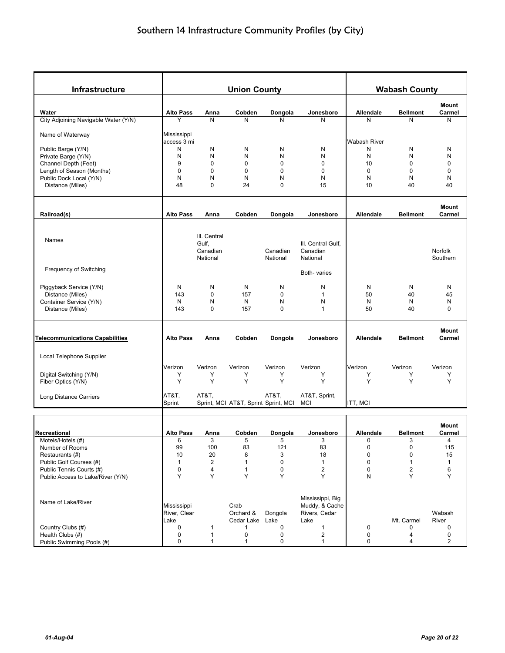| Infrastructure                                      |                                     |                                               | <b>Union County</b>                  |                      |                                                             |                          | <b>Wabash County</b>    |                        |
|-----------------------------------------------------|-------------------------------------|-----------------------------------------------|--------------------------------------|----------------------|-------------------------------------------------------------|--------------------------|-------------------------|------------------------|
|                                                     |                                     |                                               |                                      |                      |                                                             |                          |                         | Mount                  |
| Water                                               | <b>Alto Pass</b>                    | Anna                                          | Cobden                               | Dongola              | Jonesboro                                                   | Allendale                | <b>Bellmont</b>         | Carmel                 |
| City Adjoining Navigable Water (Y/N)                | Y                                   | N                                             | N                                    | N                    | N                                                           | N                        | N                       | N                      |
| Name of Waterway                                    | Mississippi                         |                                               |                                      |                      |                                                             |                          |                         |                        |
| Public Barge (Y/N)                                  | access 3 mi<br>N                    | N                                             | N                                    | N                    | N                                                           | <b>Wabash River</b><br>N | N                       | N                      |
| Private Barge (Y/N)                                 | N                                   | N                                             | N                                    | N                    | N                                                           | N                        | N                       | N                      |
| Channel Depth (Feet)                                | 9                                   | $\mathbf 0$                                   | 0                                    | $\mathbf 0$          | $\mathbf 0$                                                 | 10                       | $\mathbf 0$             | $\mathbf 0$            |
| Length of Season (Months)                           | 0                                   | $\mathbf 0$                                   | 0                                    | $\mathbf 0$          | $\mathbf 0$                                                 | $\mathbf 0$              | $\mathbf 0$             | 0                      |
| Public Dock Local (Y/N)                             | N                                   | N                                             | N                                    | N                    | N                                                           | N                        | N                       | N                      |
| Distance (Miles)                                    | 48                                  | $\mathbf 0$                                   | 24                                   | $\mathbf 0$          | 15                                                          | 10                       | 40                      | 40                     |
|                                                     | <b>Alto Pass</b>                    |                                               |                                      |                      |                                                             |                          | <b>Bellmont</b>         | Mount<br>Carmel        |
| Railroad(s)                                         |                                     | Anna                                          | Cobden                               | Dongola              | Jonesboro                                                   | <b>Allendale</b>         |                         |                        |
| Names                                               |                                     | III. Central<br>Gulf,<br>Canadian<br>National |                                      | Canadian<br>National | III. Central Gulf,<br>Canadian<br>National                  |                          |                         | Norfolk<br>Southern    |
| Frequency of Switching                              |                                     |                                               |                                      |                      | Both-varies                                                 |                          |                         |                        |
| Piggyback Service (Y/N)                             | N                                   | N                                             | N                                    | N                    | N                                                           | N                        | N                       | N                      |
| Distance (Miles)                                    | 143                                 | 0                                             | 157                                  | 0                    | $\mathbf{1}$                                                | 50                       | 40                      | 45                     |
| Container Service (Y/N)                             | N                                   | N                                             | N                                    | N                    | N                                                           | N                        | N                       | N                      |
| Distance (Miles)                                    | 143                                 | 0                                             | 157                                  | $\mathbf 0$          | $\mathbf{1}$                                                | 50                       | 40                      | $\mathbf 0$            |
| <b>Telecommunications Capabilities</b>              | <b>Alto Pass</b>                    | Anna                                          | Cobden                               | Dongola              | Jonesboro                                                   | <b>Allendale</b>         | <b>Bellmont</b>         | <b>Mount</b><br>Carmel |
|                                                     |                                     |                                               |                                      |                      |                                                             |                          |                         |                        |
| Local Telephone Supplier                            |                                     |                                               |                                      |                      |                                                             |                          |                         |                        |
|                                                     | Verizon                             | Verizon                                       | Verizon                              | Verizon              | Verizon                                                     | Verizon                  | Verizon                 | Verizon                |
| Digital Switching (Y/N)                             | Υ                                   | Y                                             | Υ                                    | Y                    | Υ                                                           | Υ                        | Υ                       | Y                      |
| Fiber Optics (Y/N)                                  | Y                                   | Y                                             | Y                                    | Y                    | Y                                                           | Y                        | Y                       | Y                      |
| Long Distance Carriers                              | AT&T.<br>Sprint                     | AT&T,                                         | Sprint, MCI AT&T, Sprint Sprint, MCI | AT&T,                | AT&T, Sprint,<br>MCI                                        | ITT, MCI                 |                         |                        |
|                                                     |                                     |                                               |                                      |                      |                                                             |                          |                         |                        |
|                                                     |                                     |                                               |                                      |                      |                                                             |                          |                         | Mount                  |
| Recreational                                        | <b>Alto Pass</b>                    | Anna                                          | Cobden                               | Dongola              | Jonesboro                                                   | Allendale                | <b>Bellmont</b>         | Carmel                 |
| Motels/Hotels (#)                                   | 6                                   | 3                                             | 5                                    | 5                    | 3                                                           | $\mathbf 0$              | 3                       | 4                      |
| Number of Rooms                                     | 99                                  | 100                                           | 83                                   | 121                  | 83                                                          | $\pmb{0}$                | $\pmb{0}$               | 115                    |
| Restaurants (#)                                     | 10                                  | 20<br>$\overline{\mathbf{c}}$                 | 8                                    | 3<br>$\mathbf 0$     | 18<br>$\mathbf{1}$                                          | 0<br>$\pmb{0}$           | 0<br>$\mathbf{1}$       | 15                     |
| Public Golf Courses (#)<br>Public Tennis Courts (#) | 1<br>0                              | 4                                             | 1<br>1                               | $\mathbf 0$          | $\overline{2}$                                              | $\pmb{0}$                | $\overline{\mathbf{c}}$ | $\mathbf{1}$<br>6      |
| Public Access to Lake/River (Y/N)                   | Y                                   | Y                                             | Y                                    | Y                    | Υ                                                           | N                        | Y                       | Υ                      |
|                                                     |                                     |                                               |                                      |                      |                                                             |                          |                         |                        |
| Name of Lake/River                                  | Mississippi<br>River, Clear<br>Lake |                                               | Crab<br>Orchard &<br>Cedar Lake Lake | Dongola              | Mississippi, Big<br>Muddy, & Cache<br>Rivers, Cedar<br>Lake |                          | Mt. Carmel              | Wabash<br>River        |
| Country Clubs (#)                                   | $\pmb{0}$                           | 1                                             | 1                                    | 0                    | 1                                                           | 0                        | 0                       | 0                      |
| Health Clubs (#)                                    | 0                                   | $\mathbf{1}$                                  | 0                                    | $\pmb{0}$            | $\overline{c}$                                              | 0                        | 4                       | 0                      |
| Public Swimming Pools (#)                           | 0                                   | 1                                             | 1                                    | 0                    | $\mathbf{1}$                                                | 0                        | 4                       | $\overline{a}$         |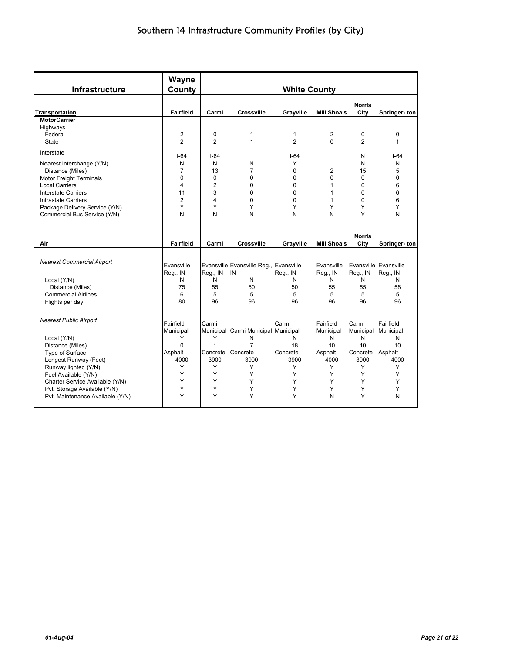| Infrastructure                    | Wayne<br>County  |                |                                        | <b>White County</b> |                    |                       |                       |
|-----------------------------------|------------------|----------------|----------------------------------------|---------------------|--------------------|-----------------------|-----------------------|
| <b>Transportation</b>             | <b>Fairfield</b> | Carmi          | <b>Crossville</b>                      | Grayville           | <b>Mill Shoals</b> | <b>Norris</b><br>City | Springer-ton          |
| <b>MotorCarrier</b>               |                  |                |                                        |                     |                    |                       |                       |
| Highways                          |                  |                |                                        |                     |                    |                       |                       |
| Federal                           | $\overline{2}$   | $\pmb{0}$      | 1                                      | 1                   | $\overline{c}$     | $\mathbf 0$           | 0                     |
| <b>State</b>                      | $\overline{2}$   | $\overline{2}$ | $\mathbf{1}$                           | $\overline{2}$      | $\Omega$           | $\overline{2}$        | $\mathbf{1}$          |
| Interstate                        | $I - 64$         | $I - 64$       |                                        | $I - 64$            |                    | N                     | $I-64$                |
| Nearest Interchange (Y/N)         | N                | N              | N                                      | Υ                   |                    | N                     | N                     |
| Distance (Miles)                  | $\overline{7}$   | 13             | $\overline{7}$                         | $\Omega$            | 2                  | 15                    | 5                     |
| Motor Freight Terminals           | $\Omega$         | $\Omega$       | 0                                      | 0                   | $\Omega$           | $\Omega$              | 0                     |
| <b>Local Carriers</b>             | 4                | $\overline{2}$ | 0                                      | $\Omega$            | 1                  | 0                     | 6                     |
| <b>Interstate Carriers</b>        | 11               | 3              | 0                                      | $\Omega$            | 1                  | $\Omega$              | 6                     |
| <b>Intrastate Carriers</b>        | $\overline{2}$   | 4              | $\Omega$                               | $\Omega$            | 1                  | $\Omega$              | 6                     |
| Package Delivery Service (Y/N)    | Y                | Υ              | Y                                      | Y                   | Υ                  | Y                     | Y                     |
| Commercial Bus Service (Y/N)      | N                | N              | N                                      | N                   | N                  | Υ                     | N                     |
|                                   |                  |                |                                        |                     |                    |                       |                       |
|                                   |                  |                |                                        |                     |                    |                       |                       |
| Air                               | Fairfield        | Carmi          | <b>Crossville</b>                      | Grayville           | <b>Mill Shoals</b> | <b>Norris</b><br>City | Springer-ton          |
|                                   |                  |                |                                        |                     |                    |                       |                       |
| <b>Nearest Commercial Airport</b> |                  |                |                                        |                     |                    |                       |                       |
|                                   | Evansville       |                | Evansville Evansville Reg., Evansville |                     | Evansville         |                       | Evansville Evansville |
|                                   | Reg., IN         | Reg., IN       | IN                                     | Reg., IN            | Reg., IN           | Reg., IN              | Reg., IN              |
| Local (Y/N)                       | N                | N              | N                                      | N                   | N                  | N                     | N                     |
| Distance (Miles)                  | 75               | 55             | 50                                     | 50                  | 55                 | 55                    | 58                    |
| <b>Commercial Airlines</b>        | 6                | 5              | 5                                      | 5                   | 5                  | 5                     | 5                     |
| Flights per day                   | 80               | 96             | 96                                     | 96                  | 96                 | 96                    | 96                    |
|                                   |                  |                |                                        |                     |                    |                       |                       |
| <b>Nearest Public Airport</b>     | Fairfield        | Carmi          |                                        | Carmi               | Fairfield          | Carmi                 | Fairfield             |
|                                   | Municipal        |                | Municipal Carmi Municipal Municipal    |                     | Municipal          |                       | Municipal Municipal   |
| Local (Y/N)                       | Y                | Υ              | N                                      | N                   | N                  | N                     | N                     |
| Distance (Miles)                  | $\Omega$         | $\mathbf{1}$   | $\overline{7}$                         | 18                  | 10                 | 10                    | 10                    |
| Type of Surface                   | Asphalt          |                | Concrete Concrete                      | Concrete            | Asphalt            | Concrete Asphalt      |                       |
| Longest Runway (Feet)             | 4000             | 3900           | 3900                                   | 3900                | 4000               | 3900                  | 4000                  |
| Runway lighted (Y/N)              | Y                | Y              | Y                                      | Y                   | Y                  | Y                     | Y                     |
| Fuel Available (Y/N)              | Y                | Υ              | Y                                      | Y                   | Υ                  | Υ                     | Y                     |
| Charter Service Available (Y/N)   | Y                | Υ              | Υ                                      | Y                   | Υ                  | Υ                     | Y                     |
| Pvt. Storage Available (Y/N)      | Y                | Y              | Y                                      | Y                   | Y                  | Y                     | Y                     |
| Pvt. Maintenance Available (Y/N)  | Y                | Y              | Y                                      | Y                   | N                  | Y                     | N                     |
|                                   |                  |                |                                        |                     |                    |                       |                       |